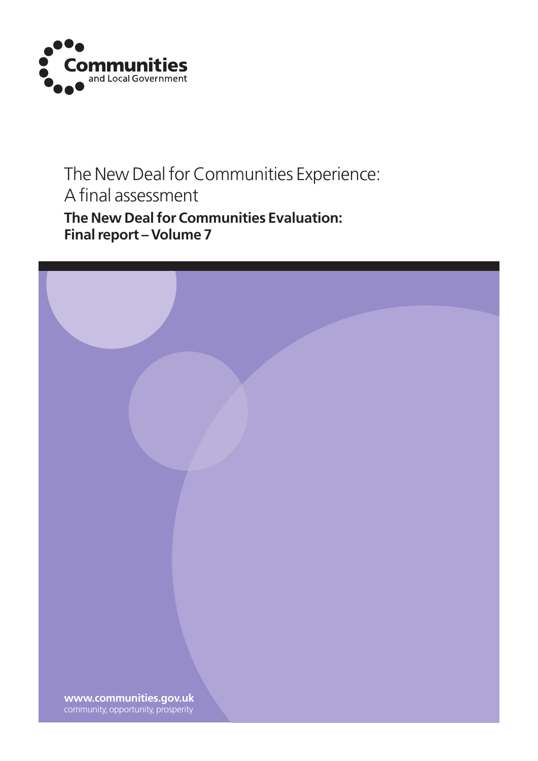

## The New Deal for Communities Experience: A final assessment **The New Deal for Communities Evaluation:**

**Final report – Volume 7**

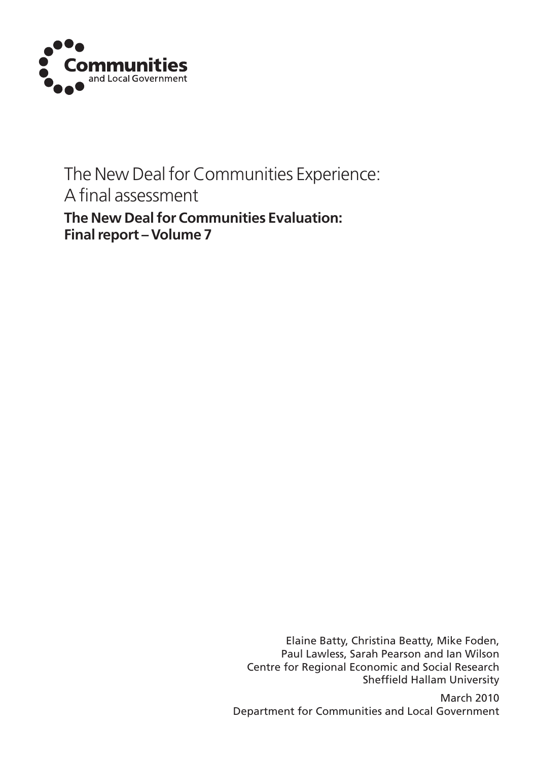

## The New Deal for Communities Experience: A final assessment **The New Deal for Communities Evaluation: Final report – Volume 7**

Elaine Batty, Christina Beatty, Mike Foden, Paul Lawless, Sarah Pearson and Ian Wilson Centre for Regional Economic and Social Research Sheffield Hallam University

March 2010 Department for Communities and Local Government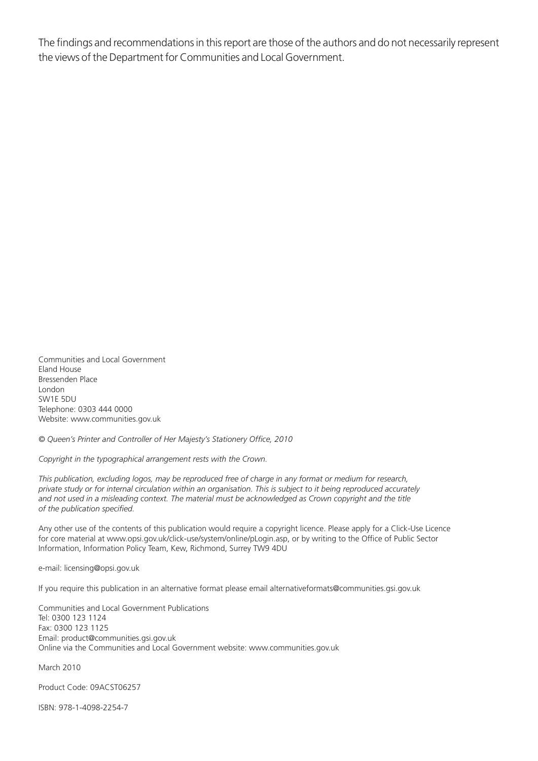The findings and recommendations in this report are those of the authors and do not necessarily represent the views of the Department for Communities and Local Government.

Communities and Local Government Eland House Bressenden Place London SW1E 5DU Telephone: 0303 444 0000 Website: www.communities.gov.uk

*© Queen's Printer and Controller of Her Majesty's Stationery Office, 2010*

*Copyright in the typographical arrangement rests with the Crown.*

*This publication, excluding logos, may be reproduced free of charge in any format or medium for research, private study or for internal circulation within an organisation. This is subject to it being reproduced accurately* and not used in a misleading context. The material must be acknowledged as Crown copyright and the title *of the publication specified.*

Any other use of the contents of this publication would require a copyright licence. Please apply for a Click-Use Licence for core material at www.opsi.gov.uk/click-use/system/online/pLogin.asp, or by writing to the Office of Public Sector Information, Information Policy Team, Kew, Richmond, Surrey TW9 4DU

e-mail: licensing@opsi.gov.uk

If you require this publication in an alternative format please email alternativeformats@communities.gsi.gov.uk

Communities and Local Government Publications Tel: 0300 123 1124 Fax: 0300 123 1125 Email: product@communities.gsi.gov.uk Online via the Communities and Local Government website: www.communities.gov.uk

March 2010

Product Code: 09ACST06257

ISBN: 978-1-4098-2254-7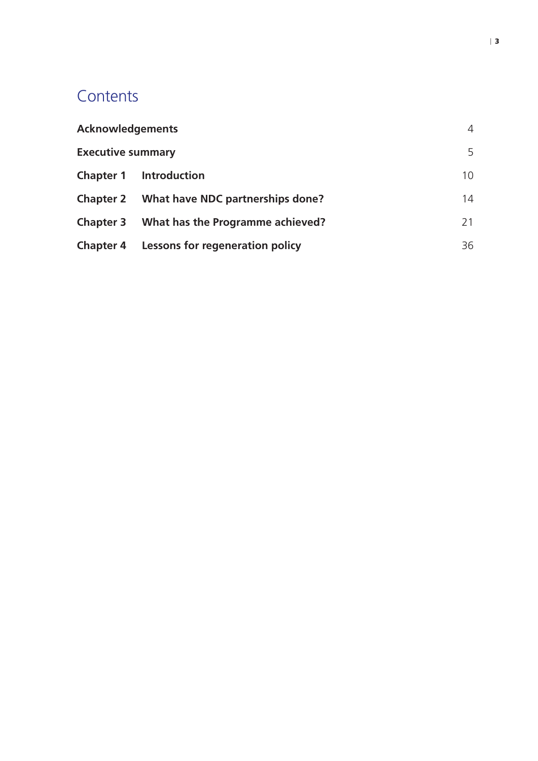## **Contents**

| <b>Acknowledgements</b>  |                                                  | 4  |
|--------------------------|--------------------------------------------------|----|
| <b>Executive summary</b> |                                                  | 5  |
| <b>Chapter 1</b>         | <b>Introduction</b>                              | 10 |
|                          | Chapter 2 What have NDC partnerships done?       | 14 |
|                          | Chapter 3 What has the Programme achieved?       | 21 |
|                          | <b>Chapter 4 Lessons for regeneration policy</b> | 36 |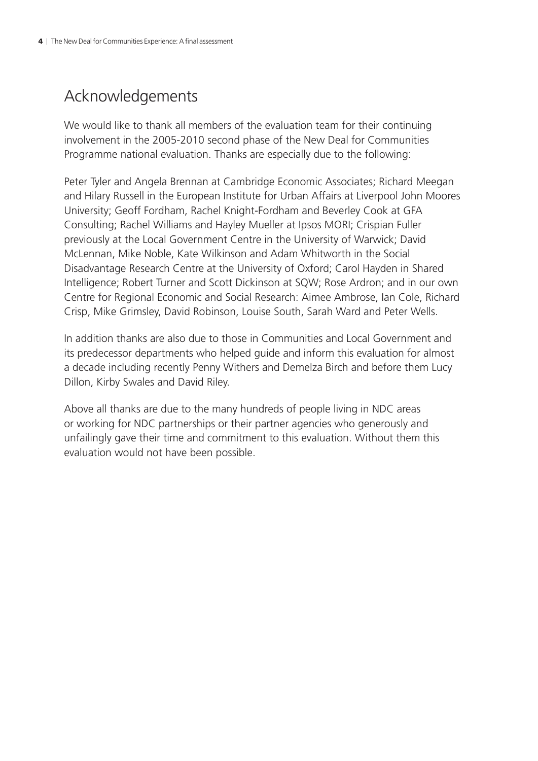## <span id="page-5-0"></span>Acknowledgements

We would like to thank all members of the evaluation team for their continuing involvement in the 2005-2010 second phase of the New Deal for Communities Programme national evaluation. Thanks are especially due to the following:

Peter Tyler and Angela Brennan at Cambridge Economic Associates; Richard Meegan and Hilary Russell in the European Institute for Urban Affairs at Liverpool John Moores University; Geoff Fordham, Rachel Knight-Fordham and Beverley Cook at GFA Consulting; Rachel Williams and Hayley Mueller at Ipsos MORI; Crispian Fuller previously at the Local Government Centre in the University of Warwick; David McLennan, Mike Noble, Kate Wilkinson and Adam Whitworth in the Social Disadvantage Research Centre at the University of Oxford; Carol Hayden in Shared Intelligence; Robert Turner and Scott Dickinson at SQW; Rose Ardron; and in our own Centre for Regional Economic and Social Research: Aimee Ambrose, Ian Cole, Richard Crisp, Mike Grimsley, David Robinson, Louise South, Sarah Ward and Peter Wells.

In addition thanks are also due to those in Communities and Local Government and its predecessor departments who helped guide and inform this evaluation for almost a decade including recently Penny Withers and Demelza Birch and before them Lucy Dillon, Kirby Swales and David Riley.

Above all thanks are due to the many hundreds of people living in NDC areas or working for NDC partnerships or their partner agencies who generously and unfailingly gave their time and commitment to this evaluation. Without them this evaluation would not have been possible.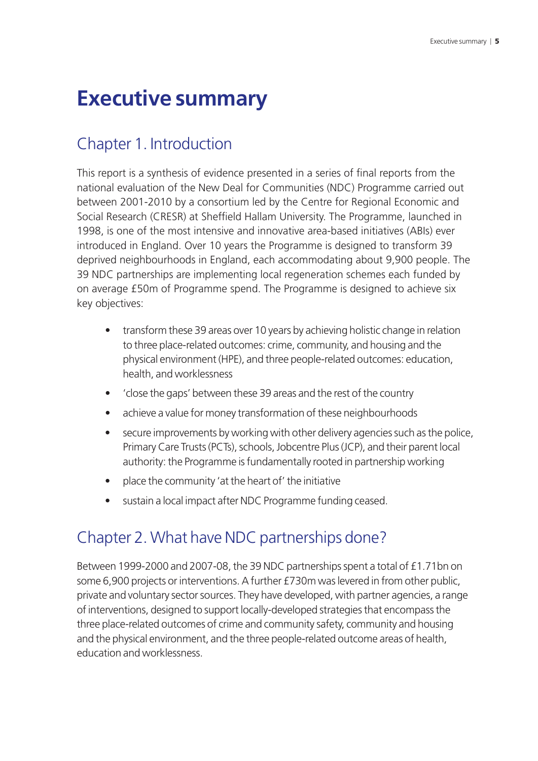## <span id="page-6-0"></span>**Executive summary**

## Chapter 1. Introduction

This report is a synthesis of evidence presented in a series of final reports from the national evaluation of the New Deal for Communities (NDC) Programme carried out between 2001-2010 by a consortium led by the Centre for Regional Economic and Social Research (CRESR) at Sheffield Hallam University. The Programme, launched in 1998, is one of the most intensive and innovative area-based initiatives (ABIs) ever introduced in England. Over 10 years the Programme is designed to transform 39 deprived neighbourhoods in England, each accommodating about 9,900 people. The 39 NDC partnerships are implementing local regeneration schemes each funded by on average £50m of Programme spend. The Programme is designed to achieve six key objectives:

- transform these 39 areas over 10 years by achieving holistic change in relation to three place-related outcomes: crime, community, and housing and the physical environment (HPE), and three people-related outcomes: education, health, and worklessness
- 'close the gaps' between these 39 areas and the rest of the country
- achieve a value for money transformation of these neighbourhoods
- secure improvements by working with other delivery agencies such as the police, Primary Care Trusts (PCTs), schools, Jobcentre Plus (JCP), and their parent local authority: the Programme is fundamentally rooted in partnership working
- place the community 'at the heart of' the initiative
- sustain a local impact after NDC Programme funding ceased.

## Chapter 2. What have NDC partnerships done?

Between 1999-2000 and 2007-08, the 39 NDC partnerships spent a total of £1.71bn on some 6,900 projects or interventions. A further £730m was levered in from other public, private and voluntary sector sources. They have developed, with partner agencies, a range of interventions, designed to support locally-developed strategies that encompass the three place-related outcomes of crime and community safety, community and housing and the physical environment, and the three people-related outcome areas of health, education and worklessness.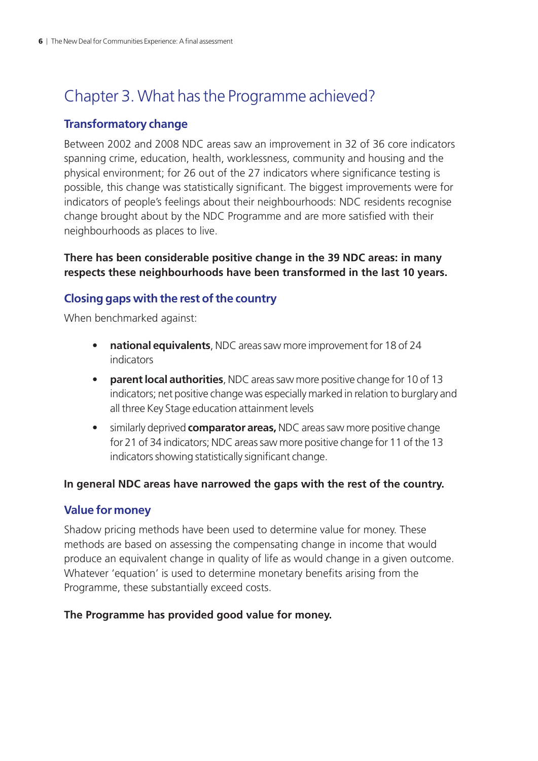## Chapter 3. What has the Programme achieved?

#### **Transformatory change**

Between 2002 and 2008 NDC areas saw an improvement in 32 of 36 core indicators spanning crime, education, health, worklessness, community and housing and the physical environment; for 26 out of the 27 indicators where significance testing is possible, this change was statistically significant. The biggest improvements were for indicators of people's feelings about their neighbourhoods: NDC residents recognise change brought about by the NDC Programme and are more satisfied with their neighbourhoods as places to live.

#### **There has been considerable positive change in the 39 NDC areas: in many respects these neighbourhoods have been transformed in the last 10 years.**

#### **Closing gaps with the rest of the country**

When benchmarked against:

- **• national equivalents**, NDC areas saw more improvement for 18 of 24 indicators
- **• parent local authorities**, NDC areas saw more positive change for 10 of 13 indicators; net positive change was especially marked in relation to burglary and all three Key Stage education attainment levels
- similarly deprived **comparator areas,** NDC areas saw more positive change for 21 of 34 indicators; NDC areas saw more positive change for 11 of the 13 indicators showing statistically significant change.

#### **In general NDC areas have narrowed the gaps with the rest of the country.**

#### **Value for money**

Shadow pricing methods have been used to determine value for money. These methods are based on assessing the compensating change in income that would produce an equivalent change in quality of life as would change in a given outcome. Whatever 'equation' is used to determine monetary benefits arising from the Programme, these substantially exceed costs.

#### **The Programme has provided good value for money.**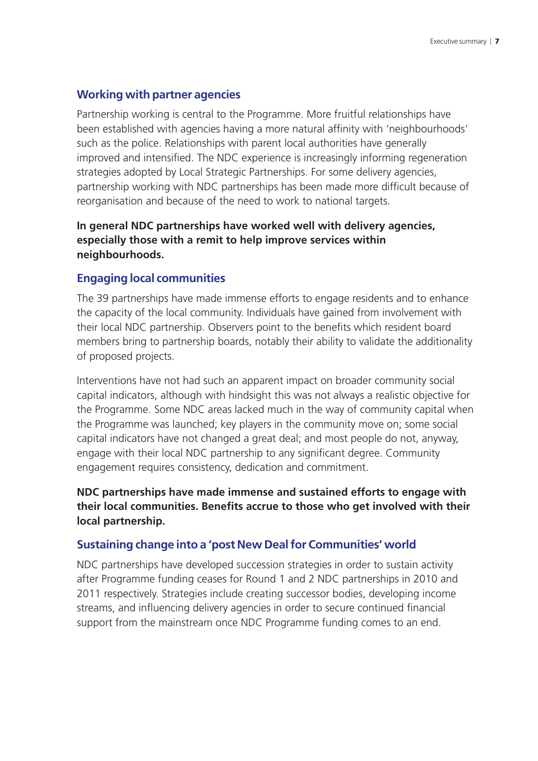#### **Working with partner agencies**

Partnership working is central to the Programme. More fruitful relationships have been established with agencies having a more natural affinity with 'neighbourhoods' such as the police. Relationships with parent local authorities have generally improved and intensified. The NDC experience is increasingly informing regeneration strategies adopted by Local Strategic Partnerships. For some delivery agencies, partnership working with NDC partnerships has been made more difficult because of reorganisation and because of the need to work to national targets.

#### **In general NDC partnerships have worked well with delivery agencies, especially those with a remit to help improve services within neighbourhoods.**

#### **Engaging local communities**

The 39 partnerships have made immense efforts to engage residents and to enhance the capacity of the local community. Individuals have gained from involvement with their local NDC partnership. Observers point to the benefits which resident board members bring to partnership boards, notably their ability to validate the additionality of proposed projects.

Interventions have not had such an apparent impact on broader community social capital indicators, although with hindsight this was not always a realistic objective for the Programme. Some NDC areas lacked much in the way of community capital when the Programme was launched; key players in the community move on; some social capital indicators have not changed a great deal; and most people do not, anyway, engage with their local NDC partnership to any significant degree. Community engagement requires consistency, dedication and commitment.

**NDC partnerships have made immense and sustained efforts to engage with their local communities. Benefits accrue to those who get involved with their local partnership.**

#### **Sustaining change into a 'post New Deal for Communities' world**

NDC partnerships have developed succession strategies in order to sustain activity after Programme funding ceases for Round 1 and 2 NDC partnerships in 2010 and 2011 respectively. Strategies include creating successor bodies, developing income streams, and influencing delivery agencies in order to secure continued financial support from the mainstream once NDC Programme funding comes to an end.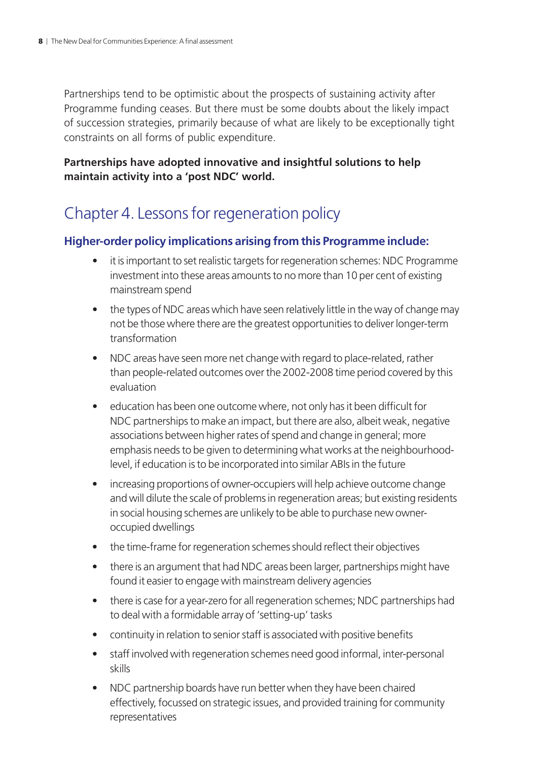Partnerships tend to be optimistic about the prospects of sustaining activity after Programme funding ceases. But there must be some doubts about the likely impact of succession strategies, primarily because of what are likely to be exceptionally tight constraints on all forms of public expenditure.

#### **Partnerships have adopted innovative and insightful solutions to help maintain activity into a 'post NDC' world.**

## Chapter 4. Lessons for regeneration policy

#### **Higher-order policy implications arising from this Programme include:**

- it is important to set realistic targets for regeneration schemes: NDC Programme investment into these areas amounts to no more than 10 per cent of existing mainstream spend
- the types of NDC areas which have seen relatively little in the way of change may not be those where there are the greatest opportunities to deliver longer-term transformation
- NDC areas have seen more net change with regard to place-related, rather than people-related outcomes over the 2002-2008 time period covered by this evaluation
- education has been one outcome where, not only has it been difficult for NDC partnerships to make an impact, but there are also, albeit weak, negative associations between higher rates of spend and change in general; more emphasis needs to be given to determining what works at the neighbourhoodlevel, if education is to be incorporated into similar ABIs in the future
- increasing proportions of owner-occupiers will help achieve outcome change and will dilute the scale of problems in regeneration areas; but existing residents in social housing schemes are unlikely to be able to purchase new owneroccupied dwellings
- the time-frame for regeneration schemes should reflect their objectives
- there is an argument that had NDC areas been larger, partnerships might have found it easier to engage with mainstream delivery agencies
- there is case for a year-zero for all regeneration schemes; NDC partnerships had to deal with a formidable array of 'setting-up' tasks
- continuity in relation to senior staff is associated with positive benefits
- staff involved with regeneration schemes need good informal, inter-personal skills
- NDC partnership boards have run better when they have been chaired effectively, focussed on strategic issues, and provided training for community representatives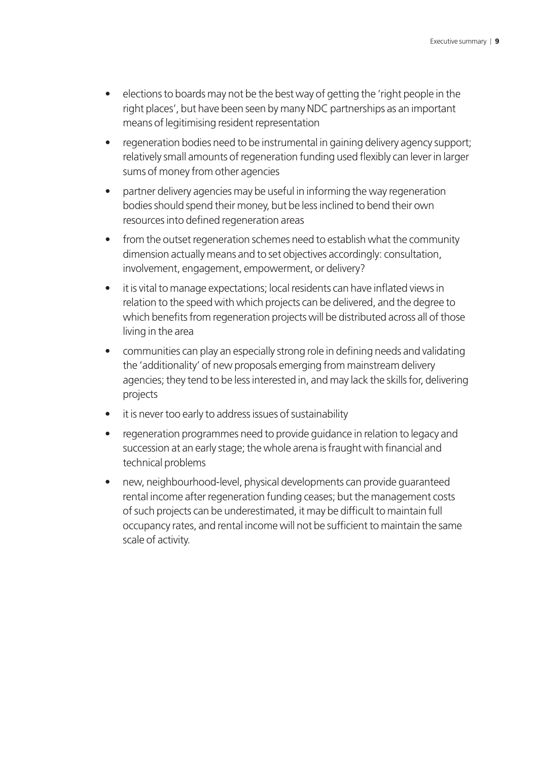- elections to boards may not be the best way of getting the 'right people in the right places', but have been seen by many NDC partnerships as an important means of legitimising resident representation
- regeneration bodies need to be instrumental in gaining delivery agency support; relatively small amounts of regeneration funding used flexibly can lever in larger sums of money from other agencies
- partner delivery agencies may be useful in informing the way regeneration bodies should spend their money, but be less inclined to bend their own resources into defined regeneration areas
- from the outset regeneration schemes need to establish what the community dimension actually means and to set objectives accordingly: consultation, involvement, engagement, empowerment, or delivery?
- it is vital to manage expectations; local residents can have inflated views in relation to the speed with which projects can be delivered, and the degree to which benefits from regeneration projects will be distributed across all of those living in the area
- communities can play an especially strong role in defining needs and validating the 'additionality' of new proposals emerging from mainstream delivery agencies; they tend to be less interested in, and may lack the skills for, delivering projects
- it is never too early to address issues of sustainability
- regeneration programmes need to provide guidance in relation to legacy and succession at an early stage; the whole arena is fraught with financial and technical problems
- new, neighbourhood-level, physical developments can provide guaranteed rental income after regeneration funding ceases; but the management costs of such projects can be underestimated, it may be difficult to maintain full occupancy rates, and rental income will not be sufficient to maintain the same scale of activity.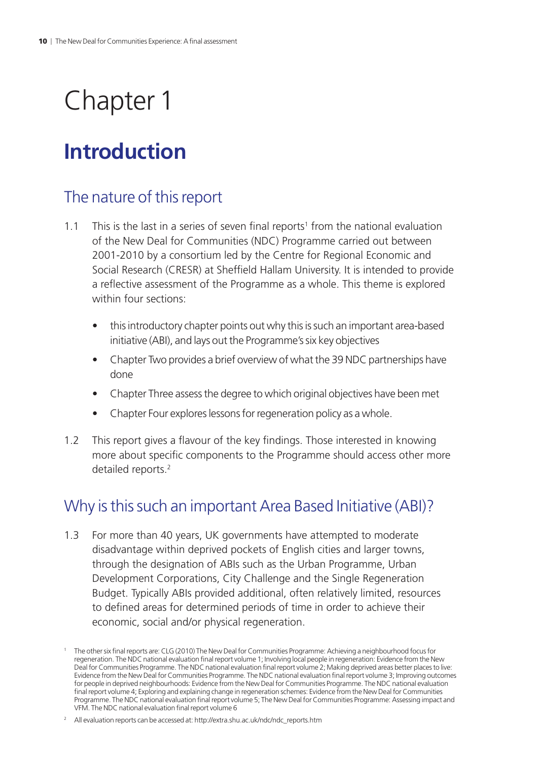## <span id="page-11-0"></span>Chapter 1

## **Introduction**

## The nature of this report

- 1.1 This is the last in a series of seven final reports<sup>1</sup> from the national evaluation of the New Deal for Communities (NDC) Programme carried out between 2001-2010 by a consortium led by the Centre for Regional Economic and Social Research (CRESR) at Sheffield Hallam University. It is intended to provide a reflective assessment of the Programme as a whole. This theme is explored within four sections:
	- this introductory chapter points out why this is such an important area-based initiative (ABI), and lays out the Programme's six key objectives
	- Chapter Two provides a brief overview of what the 39 NDC partnerships have done
	- Chapter Three assess the degree to which original objectives have been met
	- Chapter Four explores lessons for regeneration policy as a whole.
- 1.2 This report gives a flavour of the key findings. Those interested in knowing more about specific components to the Programme should access other more detailed reports.<sup>2</sup>

## Why is this such an important Area Based Initiative (ABI)?

1.3 For more than 40 years, UK governments have attempted to moderate disadvantage within deprived pockets of English cities and larger towns, through the designation of ABIs such as the Urban Programme, Urban Development Corporations, City Challenge and the Single Regeneration Budget. Typically ABIs provided additional, often relatively limited, resources to defined areas for determined periods of time in order to achieve their economic, social and/or physical regeneration.

<sup>1</sup> The other six final reports are: CLG (2010) The New Deal for Communities Programme: Achieving a neighbourhood focus for regeneration. The NDC national evaluation final report volume 1; Involving local people in regeneration: Evidence from the New Deal for Communities Programme. The NDC national evaluation final report volume 2; Making deprived areas better places to live: Evidence from the New Deal for Communities Programme. The NDC national evaluation final report volume 3; Improving outcomes for people in deprived neighbourhoods: Evidence from the New Deal for Communities Programme. The NDC national evaluation final report volume 4; Exploring and explaining change in regeneration schemes: Evidence from the New Deal for Communities Programme. The NDC national evaluation final report volume 5; The New Deal for Communities Programme: Assessing impact and VFM. The NDC national evaluation final report volume 6

<sup>&</sup>lt;sup>2</sup> All evaluation reports can be accessed at: [http://extra.shu.ac.uk/ndc/ndc\\_reports.htm](http://extra.shu.ac.uk/ndc/ndc_reports.htm)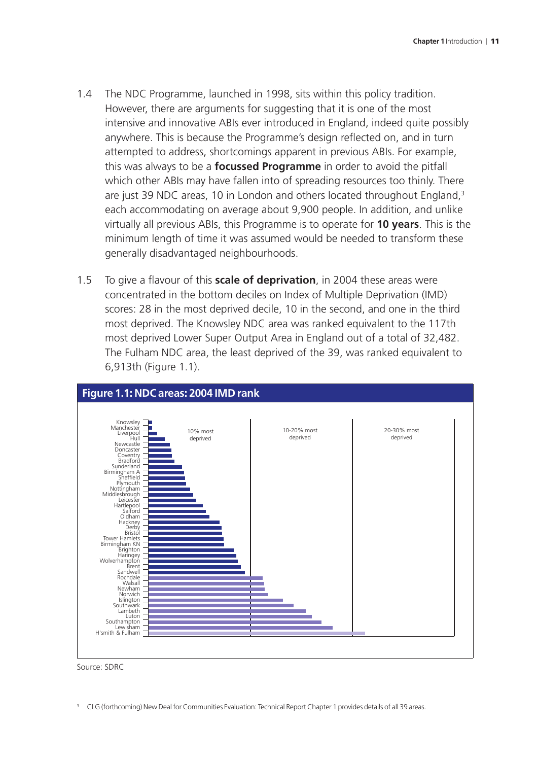- 1.4 The NDC Programme, launched in 1998, sits within this policy tradition. However, there are arguments for suggesting that it is one of the most intensive and innovative ABIs ever introduced in England, indeed quite possibly anywhere. This is because the Programme's design reflected on, and in turn attempted to address, shortcomings apparent in previous ABIs. For example, this was always to be a **focussed Programme** in order to avoid the pitfall which other ABIs may have fallen into of spreading resources too thinly. There are just 39 NDC areas, 10 in London and others located throughout England,<sup>3</sup> each accommodating on average about 9,900 people. In addition, and unlike virtually all previous ABIs, this Programme is to operate for **10 years**. This is the minimum length of time it was assumed would be needed to transform these generally disadvantaged neighbourhoods.
- 1.5 To give a flavour of this **scale of deprivation**, in 2004 these areas were concentrated in the bottom deciles on Index of Multiple Deprivation (IMD) scores: 28 in the most deprived decile, 10 in the second, and one in the third most deprived. The Knowsley NDC area was ranked equivalent to the 117th most deprived Lower Super Output Area in England out of a total of 32,482. The Fulham NDC area, the least deprived of the 39, was ranked equivalent to 6,913th (Figure 1.1).





<sup>3</sup> CLG (forthcoming) New Deal for Communities Evaluation: Technical Report Chapter 1 provides details of all 39 areas.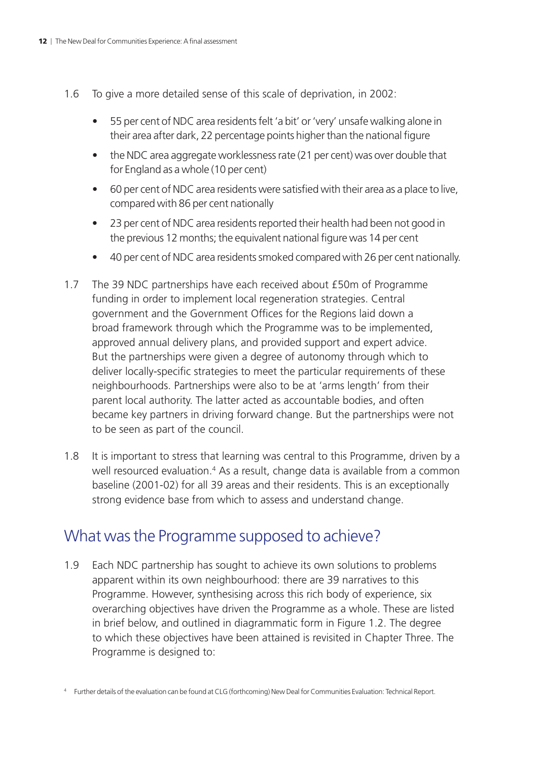- 1.6 To give a more detailed sense of this scale of deprivation, in 2002:
	- 55 per cent of NDC area residents felt 'a bit' or 'very' unsafe walking alone in their area after dark, 22 percentage points higher than the national figure
	- the NDC area aggregate worklessness rate (21 per cent) was over double that for England as a whole (10 per cent)
	- 60 per cent of NDC area residents were satisfied with their area as a place to live, compared with 86 per cent nationally
	- 23 per cent of NDC area residents reported their health had been not good in the previous 12 months; the equivalent national figure was 14 per cent
	- 40 per cent of NDC area residents smoked compared with 26 per cent nationally.
- 1.7 The 39 NDC partnerships have each received about £50m of Programme funding in order to implement local regeneration strategies. Central government and the Government Offices for the Regions laid down a broad framework through which the Programme was to be implemented, approved annual delivery plans, and provided support and expert advice. But the partnerships were given a degree of autonomy through which to deliver locally-specific strategies to meet the particular requirements of these neighbourhoods. Partnerships were also to be at 'arms length' from their parent local authority. The latter acted as accountable bodies, and often became key partners in driving forward change. But the partnerships were not to be seen as part of the council.
- 1.8 It is important to stress that learning was central to this Programme, driven by a well resourced evaluation.<sup>4</sup> As a result, change data is available from a common baseline (2001-02) for all 39 areas and their residents. This is an exceptionally strong evidence base from which to assess and understand change.

### What was the Programme supposed to achieve?

1.9 Each NDC partnership has sought to achieve its own solutions to problems apparent within its own neighbourhood: there are 39 narratives to this Programme. However, synthesising across this rich body of experience, six overarching objectives have driven the Programme as a whole. These are listed in brief below, and outlined in diagrammatic form in Figure 1.2. The degree to which these objectives have been attained is revisited in Chapter Three. The Programme is designed to:

<sup>4</sup> Further details of the evaluation can be found at CLG (forthcoming) New Deal for Communities Evaluation: Technical Report.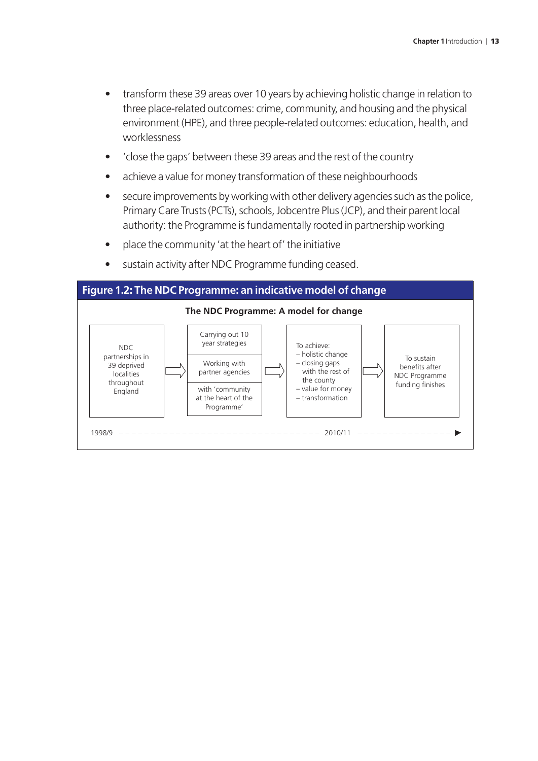- transform these 39 areas over 10 years by achieving holistic change in relation to three place-related outcomes: crime, community, and housing and the physical environment (HPE), and three people-related outcomes: education, health, and worklessness
- 'close the gaps' between these 39 areas and the rest of the country
- achieve a value for money transformation of these neighbourhoods
- secure improvements by working with other delivery agencies such as the police, Primary Care Trusts (PCTs), schools, Jobcentre Plus (JCP), and their parent local authority: the Programme is fundamentally rooted in partnership working
- place the community 'at the heart of' the initiative
- sustain activity after NDC Programme funding ceased.

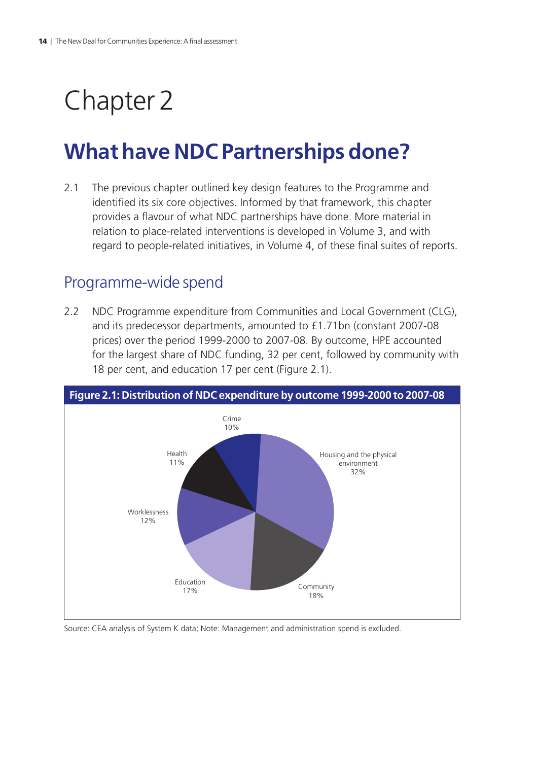## <span id="page-15-0"></span>Chapter 2

## **What have NDC Partnerships done?**

2.1 The previous chapter outlined key design features to the Programme and identified its six core objectives. Informed by that framework, this chapter provides a flavour of what NDC partnerships have done. More material in relation to place-related interventions is developed in Volume 3, and with regard to people-related initiatives, in Volume 4, of these final suites of reports.

## Programme-wide spend

2.2 NDC Programme expenditure from Communities and Local Government (CLG), and its predecessor departments, amounted to £1.71bn (constant 2007-08 prices) over the period 1999-2000 to 2007-08. By outcome, HPE accounted for the largest share of NDC funding, 32 per cent, followed by community with 18 per cent, and education 17 per cent (Figure 2.1).



Source: CEA analysis of System K data; Note: Management and administration spend is excluded.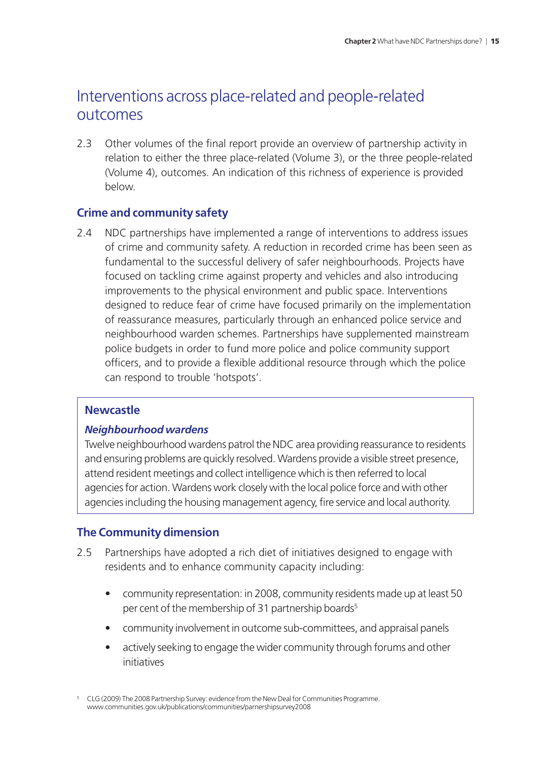## Interventions across place-related and people-related outcomes

2.3 Other volumes of the final report provide an overview of partnership activity in relation to either the three place-related (Volume 3), or the three people-related (Volume 4), outcomes. An indication of this richness of experience is provided below.

#### **Crime and community safety**

2.4 NDC partnerships have implemented a range of interventions to address issues of crime and community safety. A reduction in recorded crime has been seen as fundamental to the successful delivery of safer neighbourhoods. Projects have focused on tackling crime against property and vehicles and also introducing improvements to the physical environment and public space. Interventions designed to reduce fear of crime have focused primarily on the implementation of reassurance measures, particularly through an enhanced police service and neighbourhood warden schemes. Partnerships have supplemented mainstream police budgets in order to fund more police and police community support officers, and to provide a flexible additional resource through which the police can respond to trouble 'hotspots'.

#### **Newcastle**

#### *Neighbourhood wardens*

Twelve neighbourhood wardens patrol the NDC area providing reassurance to residents and ensuring problems are quickly resolved. Wardens provide a visible street presence, attend resident meetings and collect intelligence which is then referred to local agencies for action. Wardens work closely with the local police force and with other agencies including the housing management agency, fire service and local authority.

#### **The Community dimension**

- 2.5 Partnerships have adopted a rich diet of initiatives designed to engage with residents and to enhance community capacity including:
	- community representation: in 2008, community residents made up at least 50 per cent of the membership of 31 partnership boards<sup>5</sup>
	- community involvement in outcome sub-committees, and appraisal panels
	- actively seeking to engage the wider community through forums and other initiatives

<sup>&</sup>lt;sup>5</sup> CLG (2009) The 2008 Partnership Survey: evidence from the New Deal for Communities Programme. [www.communities.gov.uk/publications/communities/parnershipsurvey2008](http://www.communities.gov.uk/publications/communities/parnershipsurvey2008)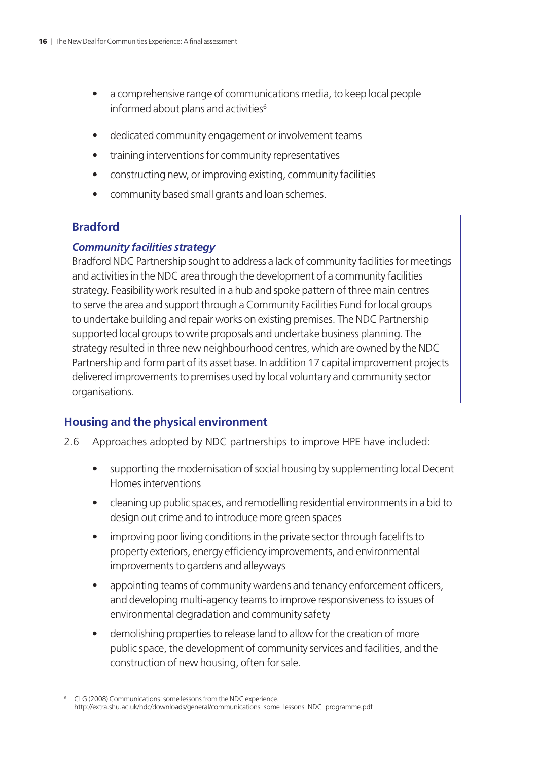- a comprehensive range of communications media, to keep local people informed about plans and activities<sup>6</sup>
- dedicated community engagement or involvement teams
- training interventions for community representatives
- constructing new, or improving existing, community facilities
- community based small grants and loan schemes.

#### **Bradford**

#### *Community facilities strategy*

Bradford NDC Partnership sought to address a lack of community facilities for meetings and activities in the NDC area through the development of a community facilities strategy. Feasibility work resulted in a hub and spoke pattern of three main centres to serve the area and support through a Community Facilities Fund for local groups to undertake building and repair works on existing premises. The NDC Partnership supported local groups to write proposals and undertake business planning. The strategy resulted in three new neighbourhood centres, which are owned by the NDC Partnership and form part of its asset base. In addition 17 capital improvement projects delivered improvements to premises used by local voluntary and community sector organisations.

#### **Housing and the physical environment**

- 2.6 Approaches adopted by NDC partnerships to improve HPE have included:
	- supporting the modernisation of social housing by supplementing local Decent Homes interventions
	- cleaning up public spaces, and remodelling residential environments in a bid to design out crime and to introduce more green spaces
	- improving poor living conditions in the private sector through facelifts to property exteriors, energy efficiency improvements, and environmental improvements to gardens and alleyways
	- appointing teams of community wardens and tenancy enforcement officers, and developing multi-agency teams to improve responsiveness to issues of environmental degradation and community safety
	- demolishing properties to release land to allow for the creation of more public space, the development of community services and facilities, and the construction of new housing, often for sale.

<sup>6</sup> CLG (2008) Communications: some lessons from the NDC experience. [http://extra.shu.ac.uk/ndc/downloads/general/communications\\_some\\_lessons\\_NDC\\_programme.pdf](http://extra.shu.ac.uk/ndc/downloads/general/communications_some_lessons_NDC_programme.pdf)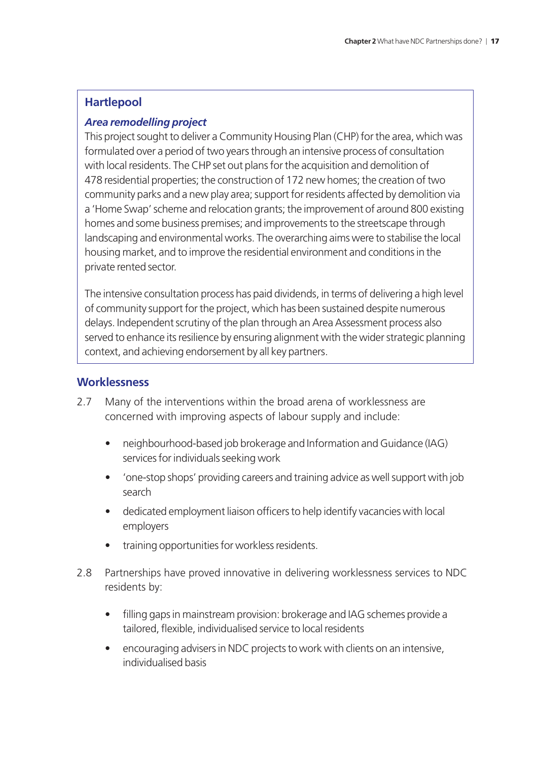#### **Hartlepool**

#### *Area remodelling project*

This project sought to deliver a Community Housing Plan (CHP) for the area, which was formulated over a period of two years through an intensive process of consultation with local residents. The CHP set out plans for the acquisition and demolition of 478 residential properties; the construction of 172 new homes; the creation of two community parks and a new play area; support for residents affected by demolition via a 'Home Swap' scheme and relocation grants; the improvement of around 800 existing homes and some business premises; and improvements to the streetscape through landscaping and environmental works. The overarching aims were to stabilise the local housing market, and to improve the residential environment and conditions in the private rented sector.

The intensive consultation process has paid dividends, in terms of delivering a high level of community support for the project, which has been sustained despite numerous delays. Independent scrutiny of the plan through an Area Assessment process also served to enhance its resilience by ensuring alignment with the wider strategic planning context, and achieving endorsement by all key partners.

#### **Worklessness**

- 2.7 Many of the interventions within the broad arena of worklessness are concerned with improving aspects of labour supply and include:
	- neighbourhood-based job brokerage and Information and Guidance (IAG) services for individuals seeking work
	- 'one-stop shops' providing careers and training advice as well support with job search
	- dedicated employment liaison officers to help identify vacancies with local employers
	- training opportunities for workless residents.
- 2.8 Partnerships have proved innovative in delivering worklessness services to NDC residents by:
	- filling gaps in mainstream provision: brokerage and IAG schemes provide a tailored, flexible, individualised service to local residents
	- encouraging advisers in NDC projects to work with clients on an intensive, individualised basis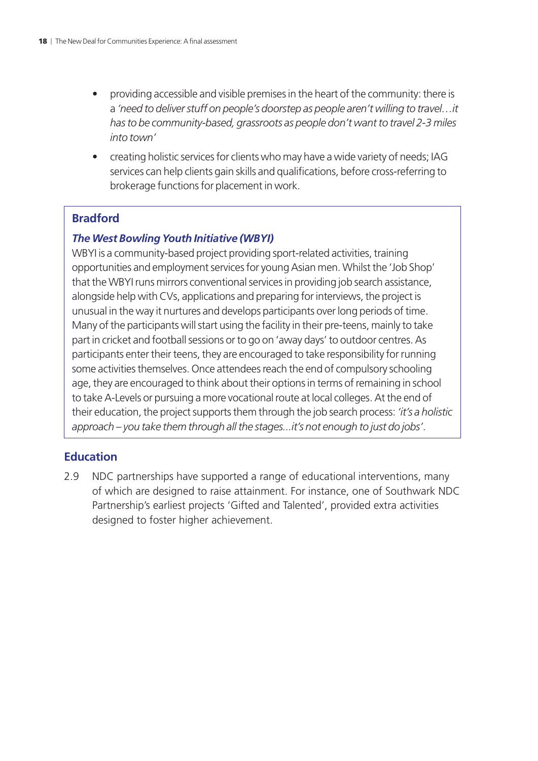- providing accessible and visible premises in the heart of the community: there is a *'need to deliver stuff on people's doorstep as people aren't willing to travel…it has to be community-based, grassroots as people don't want to travel 2-3 miles into town'*
- creating holistic services for clients who may have a wide variety of needs; IAG services can help clients gain skills and qualifications, before cross-referring to brokerage functions for placement in work.

#### **Bradford**

#### *The West Bowling Youth Initiative (WBYI)*

WBYI is a community-based project providing sport-related activities, training opportunities and employment services for young Asian men. Whilst the 'Job Shop' that the WBYI runs mirrors conventional services in providing job search assistance, alongside help with CVs, applications and preparing for interviews, the project is unusual in the way it nurtures and develops participants over long periods of time. Many of the participants will start using the facility in their pre-teens, mainly to take part in cricket and football sessions or to go on 'away days' to outdoor centres. As participants enter their teens, they are encouraged to take responsibility for running some activities themselves. Once attendees reach the end of compulsory schooling age, they are encouraged to think about their options in terms of remaining in school to take A-Levels or pursuing a more vocational route at local colleges. At the end of their education, the project supports them through the job search process: *'it's a holistic approach – you take them through all the stages...it's not enough to just do jobs'*.

#### **Education**

2.9 NDC partnerships have supported a range of educational interventions, many of which are designed to raise attainment. For instance, one of Southwark NDC Partnership's earliest projects 'Gifted and Talented', provided extra activities designed to foster higher achievement.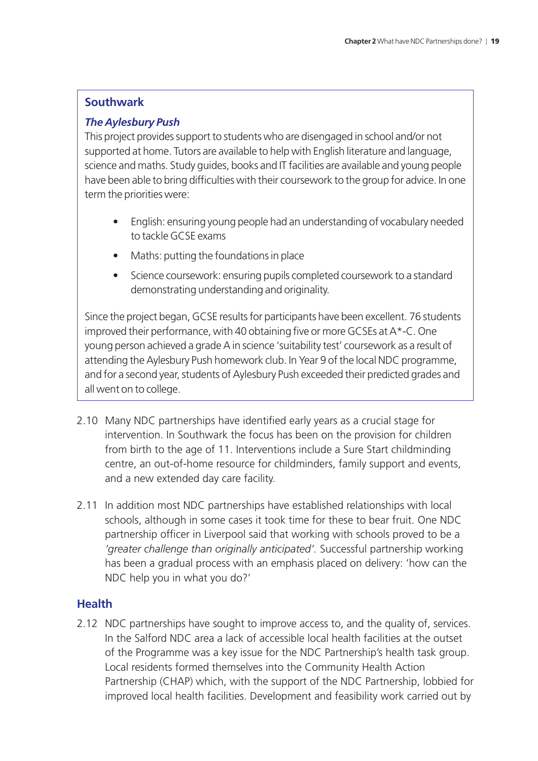#### **Southwark**

#### *The Aylesbury Push*

This project provides support to students who are disengaged in school and/or not supported at home. Tutors are available to help with English literature and language, science and maths. Study guides, books and IT facilities are available and young people have been able to bring difficulties with their coursework to the group for advice. In one term the priorities were:

- English: ensuring young people had an understanding of vocabulary needed to tackle GCSE exams
- Maths: putting the foundations in place
- Science coursework: ensuring pupils completed coursework to a standard demonstrating understanding and originality.

Since the project began, GCSE results for participants have been excellent. 76 students improved their performance, with 40 obtaining five or more GCSEs at A\*-C. One young person achieved a grade A in science 'suitability test' coursework as a result of attending the Aylesbury Push homework club. In Year 9 of the local NDC programme, and for a second year, students of Aylesbury Push exceeded their predicted grades and all went on to college.

- 2.10 Many NDC partnerships have identified early years as a crucial stage for intervention. In Southwark the focus has been on the provision for children from birth to the age of 11. Interventions include a Sure Start childminding centre, an out-of-home resource for childminders, family support and events, and a new extended day care facility.
- 2.11 In addition most NDC partnerships have established relationships with local schools, although in some cases it took time for these to bear fruit. One NDC partnership officer in Liverpool said that working with schools proved to be a *'greater challenge than originally anticipated'.* Successful partnership working has been a gradual process with an emphasis placed on delivery: 'how can the NDC help you in what you do?'

#### **Health**

2.12 NDC partnerships have sought to improve access to, and the quality of, services. In the Salford NDC area a lack of accessible local health facilities at the outset of the Programme was a key issue for the NDC Partnership's health task group. Local residents formed themselves into the Community Health Action Partnership (CHAP) which, with the support of the NDC Partnership, lobbied for improved local health facilities. Development and feasibility work carried out by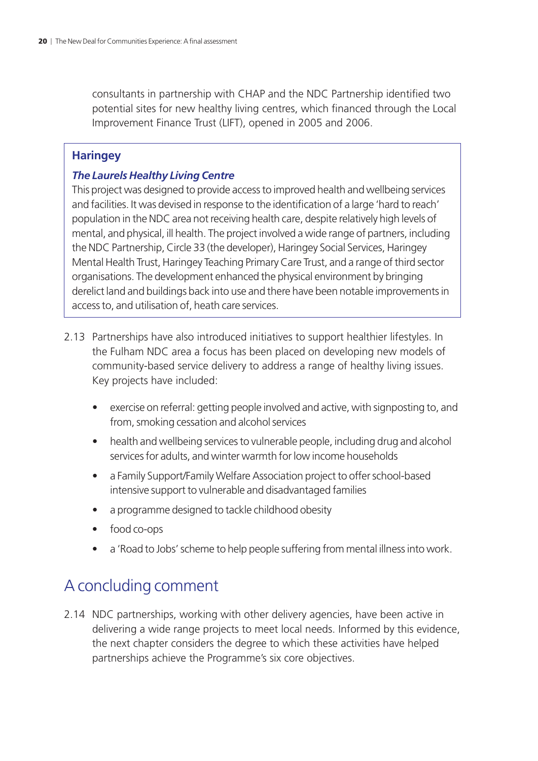consultants in partnership with CHAP and the NDC Partnership identified two potential sites for new healthy living centres, which financed through the Local Improvement Finance Trust (LIFT), opened in 2005 and 2006.

#### **Haringey**

#### *The Laurels Healthy Living Centre*

This project was designed to provide access to improved health and wellbeing services and facilities. It was devised in response to the identification of a large 'hard to reach' population in the NDC area not receiving health care, despite relatively high levels of mental, and physical, ill health. The project involved a wide range of partners, including the NDC Partnership, Circle 33 (the developer), Haringey Social Services, Haringey Mental Health Trust, Haringey Teaching Primary Care Trust, and a range of third sector organisations. The development enhanced the physical environment by bringing derelict land and buildings back into use and there have been notable improvements in access to, and utilisation of, heath care services.

- 2.13 Partnerships have also introduced initiatives to support healthier lifestyles. In the Fulham NDC area a focus has been placed on developing new models of community-based service delivery to address a range of healthy living issues. Key projects have included:
	- exercise on referral: getting people involved and active, with signposting to, and from, smoking cessation and alcohol services
	- health and wellbeing services to vulnerable people, including drug and alcohol services for adults, and winter warmth for low income households
	- a Family Support/Family Welfare Association project to offer school-based intensive support to vulnerable and disadvantaged families
	- a programme designed to tackle childhood obesity
	- food co-ops
	- a 'Road to Jobs' scheme to help people suffering from mental illness into work.

## A concluding comment

2.14 NDC partnerships, working with other delivery agencies, have been active in delivering a wide range projects to meet local needs. Informed by this evidence, the next chapter considers the degree to which these activities have helped partnerships achieve the Programme's six core objectives.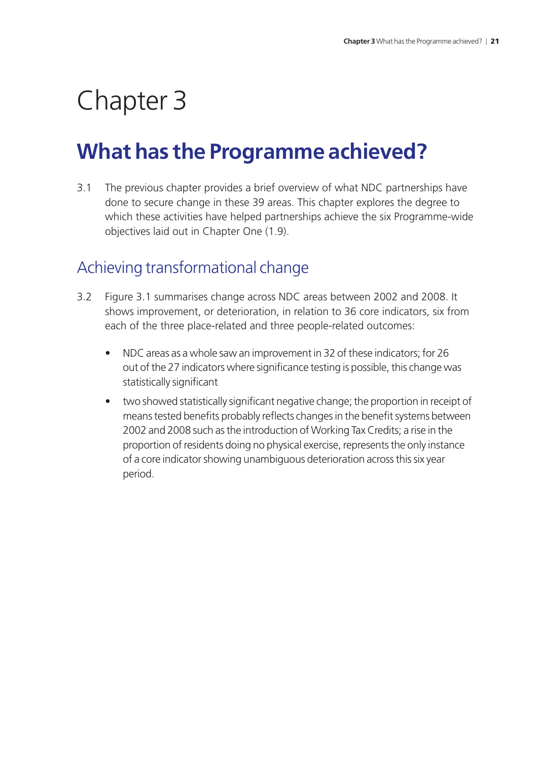## <span id="page-22-0"></span>Chapter 3

## **What has the Programme achieved?**

3.1 The previous chapter provides a brief overview of what NDC partnerships have done to secure change in these 39 areas. This chapter explores the degree to which these activities have helped partnerships achieve the six Programme-wide objectives laid out in Chapter One (1.9).

## Achieving transformational change

- 3.2 Figure 3.1 summarises change across NDC areas between 2002 and 2008. It shows improvement, or deterioration, in relation to 36 core indicators, six from each of the three place-related and three people-related outcomes:
	- NDC areas as a whole saw an improvement in 32 of these indicators; for 26 out of the 27 indicators where significance testing is possible, this change was statistically significant
	- two showed statistically significant negative change; the proportion in receipt of means tested benefits probably reflects changes in the benefit systems between 2002 and 2008 such as the introduction of Working Tax Credits; a rise in the proportion of residents doing no physical exercise, represents the only instance of a core indicator showing unambiguous deterioration across this six year period.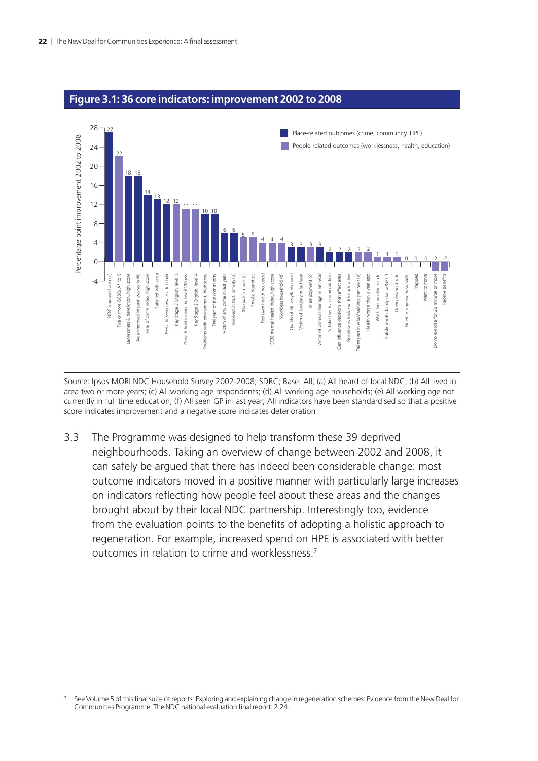

#### **Figure 3.1: 36 core indicators: improvement 2002 to 2008**

Source: Ipsos MORI NDC Household Survey 2002-2008; SDRC; Base: All; (a) All heard of local NDC; (b) All lived in area two or more years; (c) All working age respondents; (d) All working age households; (e) All working age not currently in full time education; (f) All seen GP in last year; All indicators have been standardised so that a positive score indicates improvement and a negative score indicates deterioration

3.3 The Programme was designed to help transform these 39 deprived neighbourhoods. Taking an overview of change between 2002 and 2008, it can safely be argued that there has indeed been considerable change: most outcome indicators moved in a positive manner with particularly large increases on indicators reflecting how people feel about these areas and the changes brought about by their local NDC partnership. Interestingly too, evidence from the evaluation points to the benefits of adopting a holistic approach to regeneration. For example, increased spend on HPE is associated with better outcomes in relation to crime and worklessness.7

<sup>7</sup> See Volume 5 of this final suite of reports: Exploring and explaining change in regeneration schemes: Evidence from the New Deal for Communities Programme. The NDC national evaluation final report: 2.24.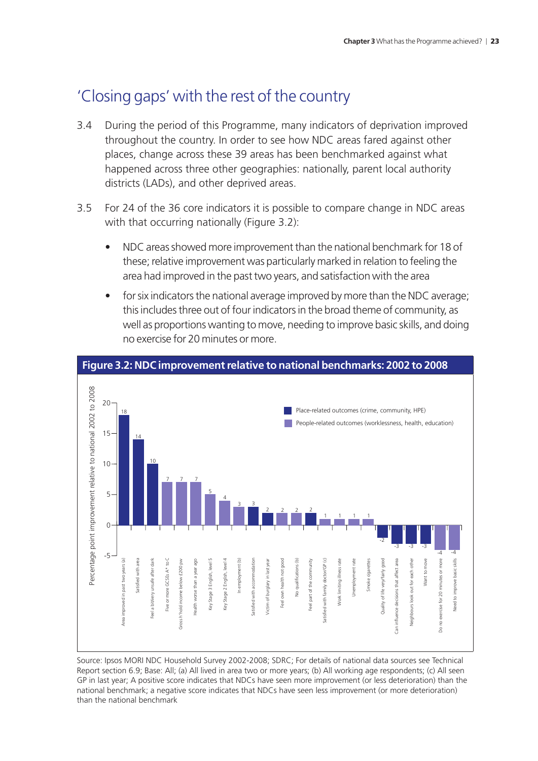## 'Closing gaps' with the rest of the country

- 3.4 During the period of this Programme, many indicators of deprivation improved throughout the country. In order to see how NDC areas fared against other places, change across these 39 areas has been benchmarked against what happened across three other geographies: nationally, parent local authority districts (LADs), and other deprived areas.
- 3.5 For 24 of the 36 core indicators it is possible to compare change in NDC areas with that occurring nationally (Figure 3.2):
	- NDC areas showed more improvement than the national benchmark for 18 of these; relative improvement was particularly marked in relation to feeling the area had improved in the past two years, and satisfaction with the area
	- for six indicators the national average improved by more than the NDC average; this includes three out of four indicators in the broad theme of community, as well as proportions wanting to move, needing to improve basic skills, and doing no exercise for 20 minutes or more.



**Figure 3.2: NDC improvement relative to national benchmarks: 2002 to 2008**

Source: Ipsos MORI NDC Household Survey 2002-2008; SDRC; For details of national data sources see Technical Report section 6.9; Base: All; (a) All lived in area two or more years; (b) All working age respondents; (c) All seen GP in last year; A positive score indicates that NDCs have seen more improvement (or less deterioration) than the national benchmark; a negative score indicates that NDCs have seen less improvement (or more deterioration) than the national benchmark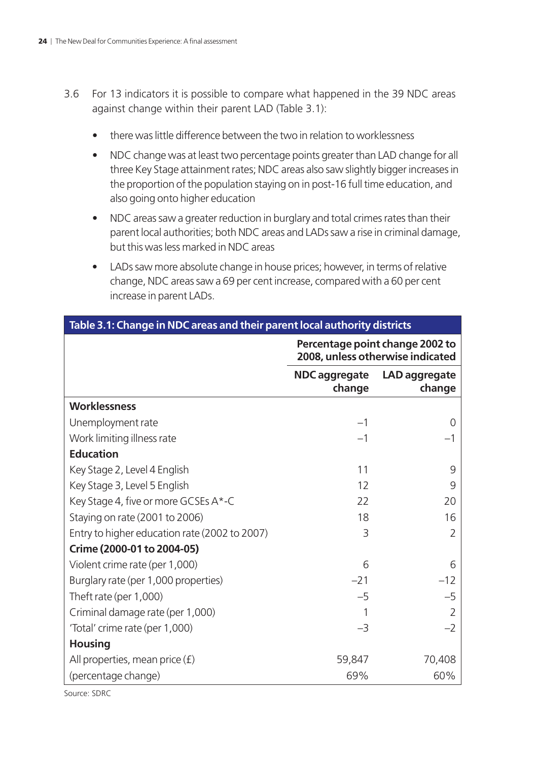- 3.6 For 13 indicators it is possible to compare what happened in the 39 NDC areas against change within their parent LAD (Table 3.1):
	- there was little difference between the two in relation to worklessness
	- NDC change was at least two percentage points greater than LAD change for all three Key Stage attainment rates; NDC areas also saw slightly bigger increases in the proportion of the population staying on in post-16 full time education, and also going onto higher education
	- NDC areas saw a greater reduction in burglary and total crimes rates than their parent local authorities; both NDC areas and LADs saw a rise in criminal damage, but this was less marked in NDC areas
	- LADs saw more absolute change in house prices; however, in terms of relative change, NDC areas saw a 69 per cent increase, compared with a 60 per cent increase in parent LADs.

|                                               | Percentage point change 2002 to<br>2008, unless otherwise indicated |                         |  |
|-----------------------------------------------|---------------------------------------------------------------------|-------------------------|--|
|                                               | NDC aggregate<br>change                                             | LAD aggregate<br>change |  |
| Worklessness                                  |                                                                     |                         |  |
| Unemployment rate                             | $-1$                                                                | $\Omega$                |  |
| Work limiting illness rate                    | $-1$                                                                |                         |  |
| <b>Education</b>                              |                                                                     |                         |  |
| Key Stage 2, Level 4 English                  | 11                                                                  | 9                       |  |
| Key Stage 3, Level 5 English                  | 12                                                                  | 9                       |  |
| Key Stage 4, five or more GCSEs A*-C          | 22                                                                  | 20                      |  |
| Staying on rate (2001 to 2006)                | 18                                                                  | 16                      |  |
| Entry to higher education rate (2002 to 2007) | 3                                                                   | $\overline{2}$          |  |
| Crime (2000-01 to 2004-05)                    |                                                                     |                         |  |
| Violent crime rate (per 1,000)                | 6                                                                   | 6                       |  |
| Burglary rate (per 1,000 properties)          | $-21$                                                               | $-12$                   |  |
| Theft rate (per 1,000)                        | $-5$                                                                | $-5$                    |  |
| Criminal damage rate (per 1,000)              |                                                                     |                         |  |
| 'Total' crime rate (per 1,000)                | $-3$                                                                | $-2$                    |  |
| <b>Housing</b>                                |                                                                     |                         |  |
| All properties, mean price $(f)$              | 59,847                                                              | 70,408                  |  |
| (percentage change)                           | 69%                                                                 | 60%                     |  |

#### **Table 3.1: Change in NDC areas and their parent local authority districts**

Source: SDRC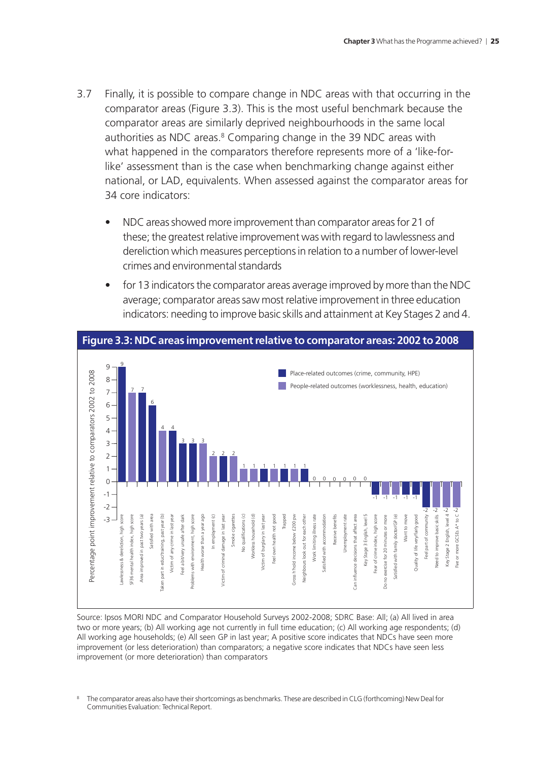- 3.7 Finally, it is possible to compare change in NDC areas with that occurring in the comparator areas (Figure 3.3). This is the most useful benchmark because the comparator areas are similarly deprived neighbourhoods in the same local authorities as NDC areas.<sup>8</sup> Comparing change in the 39 NDC areas with what happened in the comparators therefore represents more of a 'like-forlike' assessment than is the case when benchmarking change against either national, or LAD, equivalents. When assessed against the comparator areas for 34 core indicators:
	- NDC areas showed more improvement than comparator areas for 21 of these; the greatest relative improvement was with regard to lawlessness and dereliction which measures perceptions in relation to a number of lower-level crimes and environmental standards
	- for 13 indicators the comparator areas average improved by more than the NDC average; comparator areas saw most relative improvement in three education indicators: needing to improve basic skills and attainment at Key Stages 2 and 4.



**Figure 3.3: NDC areas improvement relative to comparator areas: 2002 to 2008**

Source: Ipsos MORI NDC and Comparator Household Surveys 2002-2008; SDRC Base: All; (a) All lived in area two or more years; (b) All working age not currently in full time education; (c) All working age respondents; (d) All working age households; (e) All seen GP in last year; A positive score indicates that NDCs have seen more improvement (or less deterioration) than comparators; a negative score indicates that NDCs have seen less improvement (or more deterioration) than comparators

<sup>8</sup> The comparator areas also have their shortcomings as benchmarks. These are described in CLG (forthcoming) New Deal for Communities Evaluation: Technical Report.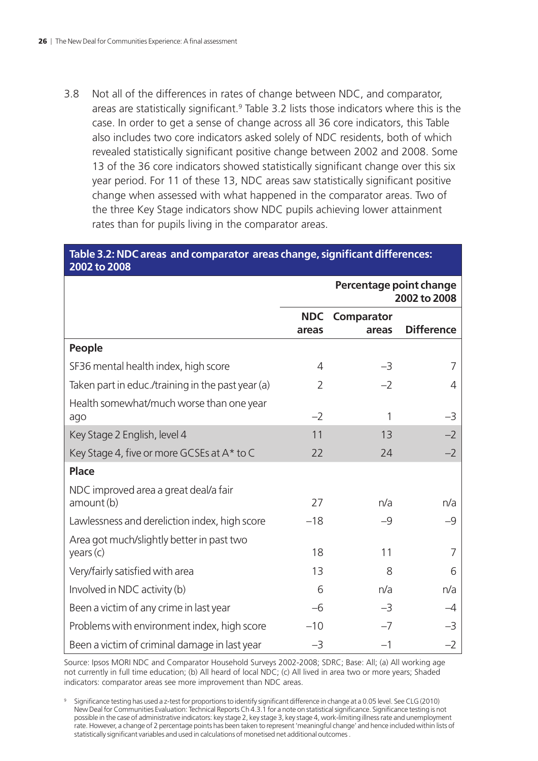3.8 Not all of the differences in rates of change between NDC, and comparator, areas are statistically significant.<sup>9</sup> Table 3.2 lists those indicators where this is the case. In order to get a sense of change across all 36 core indicators, this Table also includes two core indicators asked solely of NDC residents, both of which revealed statistically significant positive change between 2002 and 2008. Some 13 of the 36 core indicators showed statistically significant change over this six year period. For 11 of these 13, NDC areas saw statistically significant positive change when assessed with what happened in the comparator areas. Two of the three Key Stage indicators show NDC pupils achieving lower attainment rates than for pupils living in the comparator areas.

#### **Table 3.2: NDC areas and comparator areas change, significant differences: 2002 to 2008**

|                                                        | Percentage point change<br>2002 to 2008 |                     |                   |
|--------------------------------------------------------|-----------------------------------------|---------------------|-------------------|
|                                                        | <b>NDC</b><br>areas                     | Comparator<br>areas | <b>Difference</b> |
| People                                                 |                                         |                     |                   |
| SF36 mental health index, high score                   | 4                                       | $-3$                | 7                 |
| Taken part in educ./training in the past year (a)      | 2                                       | $-2$                | 4                 |
| Health somewhat/much worse than one year<br>ago        | $-2$                                    | 1                   | -3                |
| Key Stage 2 English, level 4                           | 11                                      | 13                  | $-2$              |
| Key Stage 4, five or more GCSEs at A* to C             | 22                                      | 24                  | $-2$              |
| <b>Place</b>                                           |                                         |                     |                   |
| NDC improved area a great deal/a fair<br>amount (b)    | 27                                      | n/a                 | n/a               |
| Lawlessness and dereliction index, high score          | $-18$                                   | $-9$                | $-9$              |
| Area got much/slightly better in past two<br>years (c) | 18                                      | 11                  | 7                 |
| Very/fairly satisfied with area                        | 13                                      | 8                   | 6                 |
| Involved in NDC activity (b)                           | 6                                       | n/a                 | n/a               |
| Been a victim of any crime in last year                | $-6$                                    | $-3$                | -4                |
| Problems with environment index, high score            | $-10$                                   | $-7$                | -3                |
| Been a victim of criminal damage in last year          | $-3$                                    | $-1$                | $-2$              |

Source: Ipsos MORI NDC and Comparator Household Surveys 2002-2008; SDRC; Base: All; (a) All working age not currently in full time education; (b) All heard of local NDC; (c) All lived in area two or more years; Shaded indicators: comparator areas see more improvement than NDC areas.

<sup>9</sup> Significance testing has used a z-test for proportions to identify significant difference in change at a 0.05 level. See CLG (2010) New Deal for Communities Evaluation: Technical Reports Ch 4.3.1 for a note on statistical significance. Significance testing is not possible in the case of administrative indicators: key stage 2, key stage 3, key stage 4, work-limiting illness rate and unemployment rate. However, a change of 2 percentage points has been taken to represent 'meaningful change' and hence included within lists of statistically significant variables and used in calculations of monetised net additional outcomes .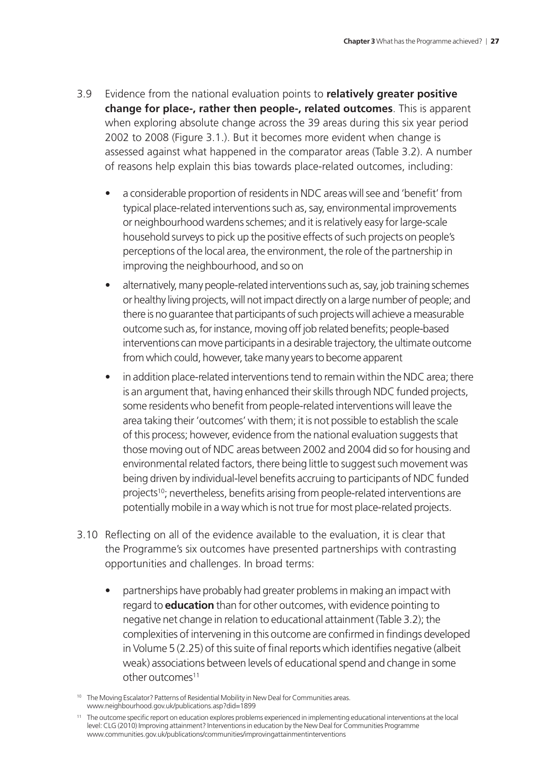- 3.9 Evidence from the national evaluation points to **relatively greater positive change for place-, rather then people-, related outcomes**. This is apparent when exploring absolute change across the 39 areas during this six year period 2002 to 2008 (Figure 3.1.). But it becomes more evident when change is assessed against what happened in the comparator areas (Table 3.2). A number of reasons help explain this bias towards place-related outcomes, including:
	- a considerable proportion of residents in NDC areas will see and 'benefit' from typical place-related interventions such as, say, environmental improvements or neighbourhood wardens schemes; and it is relatively easy for large-scale household surveys to pick up the positive effects of such projects on people's perceptions of the local area, the environment, the role of the partnership in improving the neighbourhood, and so on
	- alternatively, many people-related interventions such as, say, job training schemes or healthy living projects, will not impact directly on a large number of people; and there is no guarantee that participants of such projects will achieve a measurable outcome such as, for instance, moving off job related benefits; people-based interventions can move participants in a desirable trajectory, the ultimate outcome from which could, however, take many years to become apparent
	- in addition place-related interventions tend to remain within the NDC area; there is an argument that, having enhanced their skills through NDC funded projects, some residents who benefit from people-related interventions will leave the area taking their 'outcomes' with them; it is not possible to establish the scale of this process; however, evidence from the national evaluation suggests that those moving out of NDC areas between 2002 and 2004 did so for housing and environmental related factors, there being little to suggest such movement was being driven by individual-level benefits accruing to participants of NDC funded projects<sup>10</sup>; nevertheless, benefits arising from people-related interventions are potentially mobile in a way which is not true for most place-related projects.
- 3.10 Reflecting on all of the evidence available to the evaluation, it is clear that the Programme's six outcomes have presented partnerships with contrasting opportunities and challenges. In broad terms:
	- partnerships have probably had greater problems in making an impact with regard to **education** than for other outcomes, with evidence pointing to negative net change in relation to educational attainment (Table 3.2); the complexities of intervening in this outcome are confirmed in findings developed in Volume 5 (2.25) of this suite of final reports which identifies negative (albeit weak) associations between levels of educational spend and change in some other outcomes<sup>11</sup>

<sup>&</sup>lt;sup>10</sup> The Moving Escalator? Patterns of Residential Mobility in New Deal for Communities areas. [www.neighbourhood.gov.uk/publications.asp?did=1899](http://www.neighbourhood.gov.uk/publications.asp?did=1899)

<sup>11</sup> The outcome specific report on education explores problems experienced in implementing educational interventions at the local level: CLG (2010) Improving attainment? Interventions in education by the New Deal for Communities Programme [www.communities.gov.uk/publications/communities/improvingattainmentinterventions](http://www.communities.gov.uk/publications/communities/improvingattainmentinterventions)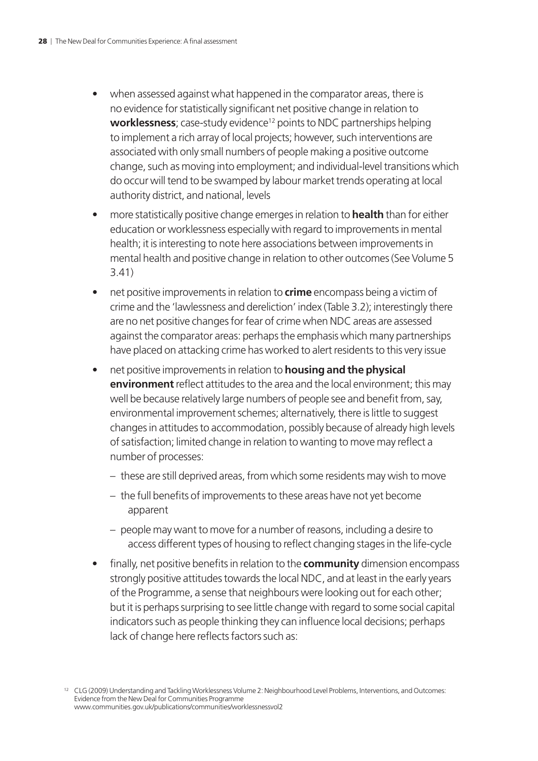- when assessed against what happened in the comparator areas, there is no evidence for statistically significant net positive change in relation to **worklessness**; case-study evidence<sup>12</sup> points to NDC partnerships helping to implement a rich array of local projects; however, such interventions are associated with only small numbers of people making a positive outcome change, such as moving into employment; and individual-level transitions which do occur will tend to be swamped by labour market trends operating at local authority district, and national, levels
- more statistically positive change emerges in relation to **health** than for either education or worklessness especially with regard to improvements in mental health; it is interesting to note here associations between improvements in mental health and positive change in relation to other outcomes (See Volume 5 3.41)
- net positive improvements in relation to **crime** encompass being a victim of crime and the 'lawlessness and dereliction' index (Table 3.2); interestingly there are no net positive changes for fear of crime when NDC areas are assessed against the comparator areas: perhaps the emphasis which many partnerships have placed on attacking crime has worked to alert residents to this very issue
- net positive improvements in relation to **housing and the physical environment** reflect attitudes to the area and the local environment; this may well be because relatively large numbers of people see and benefit from, say, environmental improvement schemes; alternatively, there is little to suggest changes in attitudes to accommodation, possibly because of already high levels of satisfaction; limited change in relation to wanting to move may reflect a number of processes:
	- these are still deprived areas, from which some residents may wish to move
	- the full benefits of improvements to these areas have not yet become apparent
	- people may want to move for a number of reasons, including a desire to access different types of housing to reflect changing stages in the life-cycle
- finally, net positive benefits in relation to the **community** dimension encompass strongly positive attitudes towards the local NDC, and at least in the early years of the Programme, a sense that neighbours were looking out for each other; but it is perhaps surprising to see little change with regard to some social capital indicators such as people thinking they can influence local decisions; perhaps lack of change here reflects factors such as:

<sup>12</sup> CLG (2009) Understanding and Tackling Worklessness Volume 2: Neighbourhood Level Problems, Interventions, and Outcomes: Evidence from the New Deal for Communities Programme [www.communities.gov.uk/publications/communities/worklessnessvol2](http://www.communities.gov.uk/publications/communities/worklessnessvol2)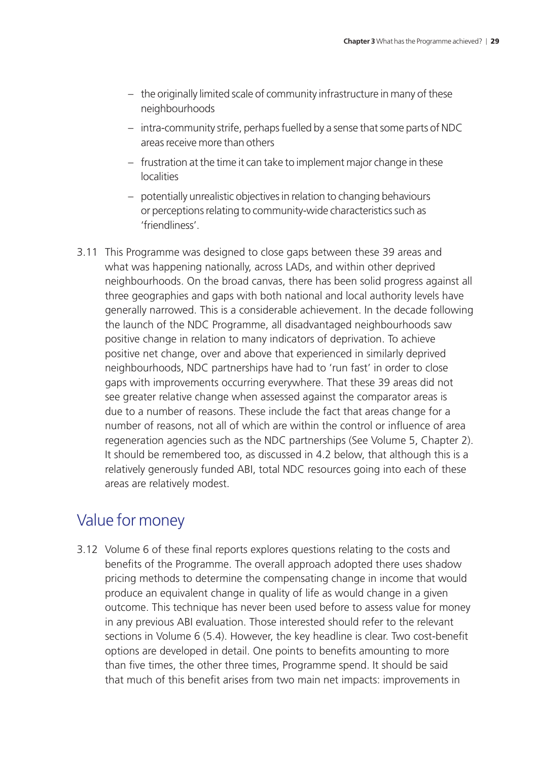- the originally limited scale of community infrastructure in many of these neighbourhoods
- intra-community strife, perhaps fuelled by a sense that some parts of NDC areas receive more than others
- frustration at the time it can take to implement major change in these localities
- potentially unrealistic objectives in relation to changing behaviours or perceptions relating to community-wide characteristics such as 'friendliness'.
- 3.11 This Programme was designed to close gaps between these 39 areas and what was happening nationally, across LADs, and within other deprived neighbourhoods. On the broad canvas, there has been solid progress against all three geographies and gaps with both national and local authority levels have generally narrowed. This is a considerable achievement. In the decade following the launch of the NDC Programme, all disadvantaged neighbourhoods saw positive change in relation to many indicators of deprivation. To achieve positive net change, over and above that experienced in similarly deprived neighbourhoods, NDC partnerships have had to 'run fast' in order to close gaps with improvements occurring everywhere. That these 39 areas did not see greater relative change when assessed against the comparator areas is due to a number of reasons. These include the fact that areas change for a number of reasons, not all of which are within the control or influence of area regeneration agencies such as the NDC partnerships (See Volume 5, Chapter 2). It should be remembered too, as discussed in 4.2 below, that although this is a relatively generously funded ABI, total NDC resources going into each of these areas are relatively modest.

## Value for money

3.12 Volume 6 of these final reports explores questions relating to the costs and benefits of the Programme. The overall approach adopted there uses shadow pricing methods to determine the compensating change in income that would produce an equivalent change in quality of life as would change in a given outcome. This technique has never been used before to assess value for money in any previous ABI evaluation. Those interested should refer to the relevant sections in Volume 6 (5.4). However, the key headline is clear. Two cost-benefit options are developed in detail. One points to benefits amounting to more than five times, the other three times, Programme spend. It should be said that much of this benefit arises from two main net impacts: improvements in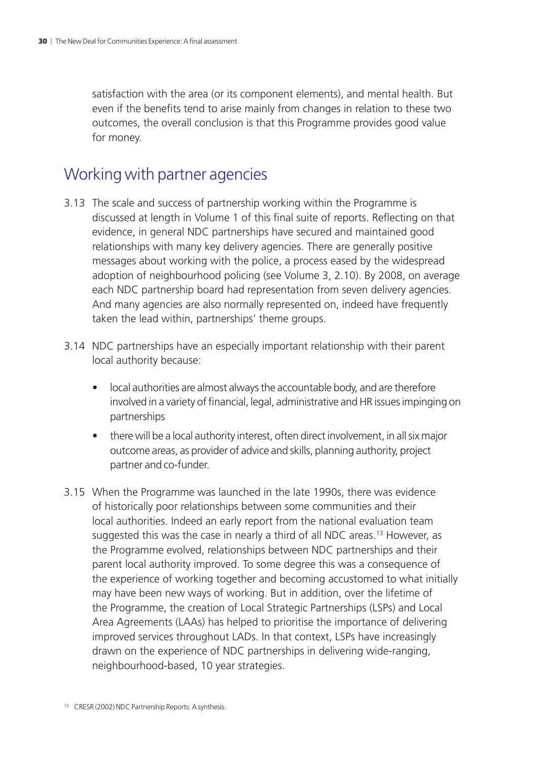satisfaction with the area (or its component elements), and mental health. But even if the benefits tend to arise mainly from changes in relation to these two outcomes, the overall conclusion is that this Programme provides good value for money.

## Working with partner agencies

- 3.13 The scale and success of partnership working within the Programme is discussed at length in Volume 1 of this final suite of reports. Reflecting on that evidence, in general NDC partnerships have secured and maintained good relationships with many key delivery agencies. There are generally positive messages about working with the police, a process eased by the widespread adoption of neighbourhood policing (see Volume 3, 2.10). By 2008, on average each NDC partnership board had representation from seven delivery agencies. And many agencies are also normally represented on, indeed have frequently taken the lead within, partnerships' theme groups.
- 3.14 NDC partnerships have an especially important relationship with their parent local authority because:
	- local authorities are almost always the accountable body, and are therefore involved in a variety of financial, legal, administrative and HR issues impinging on partnerships
	- there will be a local authority interest, often direct involvement, in all six major outcome areas, as provider of advice and skills, planning authority, project partner and co-funder.
- 3.15 When the Programme was launched in the late 1990s, there was evidence of historically poor relationships between some communities and their local authorities. Indeed an early report from the national evaluation team suggested this was the case in nearly a third of all NDC areas.<sup>13</sup> However, as the Programme evolved, relationships between NDC partnerships and their parent local authority improved. To some degree this was a consequence of the experience of working together and becoming accustomed to what initially may have been new ways of working. But in addition, over the lifetime of the Programme, the creation of Local Strategic Partnerships (LSPs) and Local Area Agreements (LAAs) has helped to prioritise the importance of delivering improved services throughout LADs. In that context, LSPs have increasingly drawn on the experience of NDC partnerships in delivering wide-ranging, neighbourhood-based, 10 year strategies.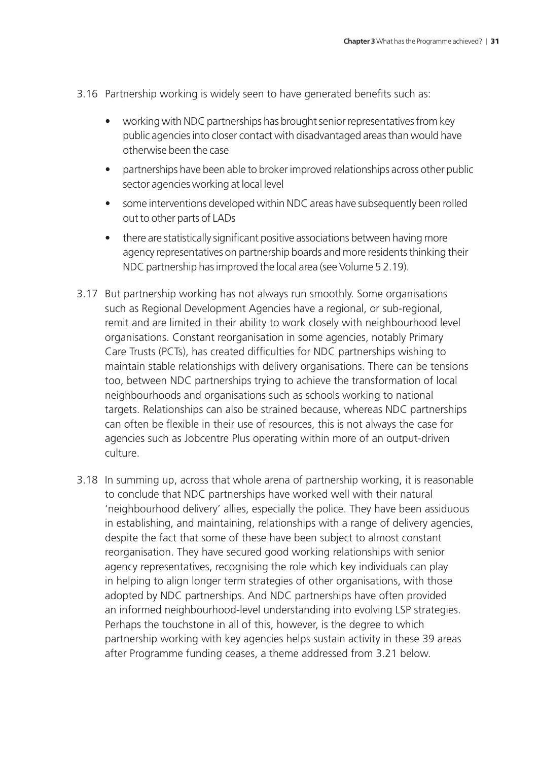- 3.16 Partnership working is widely seen to have generated benefits such as:
	- working with NDC partnerships has brought senior representatives from key public agencies into closer contact with disadvantaged areas than would have otherwise been the case
	- partnerships have been able to broker improved relationships across other public sector agencies working at local level
	- some interventions developed within NDC areas have subsequently been rolled out to other parts of LADs
	- there are statistically significant positive associations between having more agency representatives on partnership boards and more residents thinking their NDC partnership has improved the local area (see Volume 5 2.19).
- 3.17 But partnership working has not always run smoothly. Some organisations such as Regional Development Agencies have a regional, or sub-regional, remit and are limited in their ability to work closely with neighbourhood level organisations. Constant reorganisation in some agencies, notably Primary Care Trusts (PCTs), has created difficulties for NDC partnerships wishing to maintain stable relationships with delivery organisations. There can be tensions too, between NDC partnerships trying to achieve the transformation of local neighbourhoods and organisations such as schools working to national targets. Relationships can also be strained because, whereas NDC partnerships can often be flexible in their use of resources, this is not always the case for agencies such as Jobcentre Plus operating within more of an output-driven culture.
- 3.18 In summing up, across that whole arena of partnership working, it is reasonable to conclude that NDC partnerships have worked well with their natural 'neighbourhood delivery' allies, especially the police. They have been assiduous in establishing, and maintaining, relationships with a range of delivery agencies, despite the fact that some of these have been subject to almost constant reorganisation. They have secured good working relationships with senior agency representatives, recognising the role which key individuals can play in helping to align longer term strategies of other organisations, with those adopted by NDC partnerships. And NDC partnerships have often provided an informed neighbourhood-level understanding into evolving LSP strategies. Perhaps the touchstone in all of this, however, is the degree to which partnership working with key agencies helps sustain activity in these 39 areas after Programme funding ceases, a theme addressed from 3.21 below.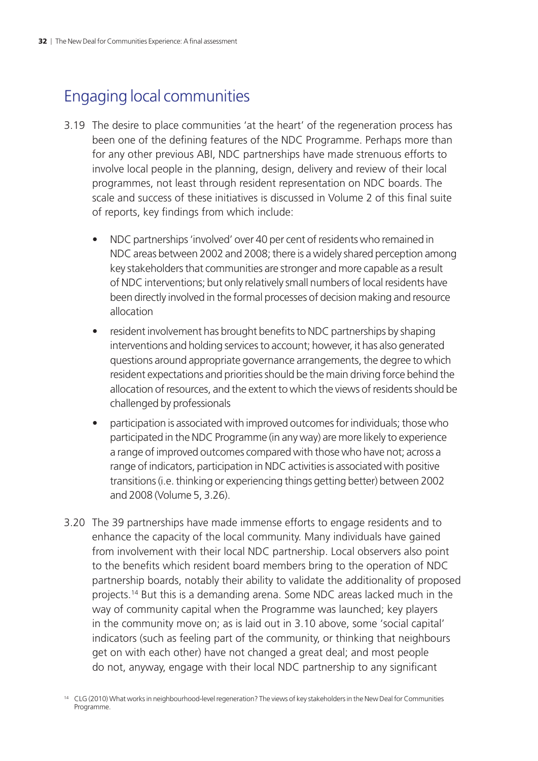## Engaging local communities

- 3.19 The desire to place communities 'at the heart' of the regeneration process has been one of the defining features of the NDC Programme. Perhaps more than for any other previous ABI, NDC partnerships have made strenuous efforts to involve local people in the planning, design, delivery and review of their local programmes, not least through resident representation on NDC boards. The scale and success of these initiatives is discussed in Volume 2 of this final suite of reports, key findings from which include:
	- NDC partnerships 'involved' over 40 per cent of residents who remained in NDC areas between 2002 and 2008; there is a widely shared perception among key stakeholders that communities are stronger and more capable as a result of NDC interventions; but only relatively small numbers of local residents have been directly involved in the formal processes of decision making and resource allocation
	- resident involvement has brought benefits to NDC partnerships by shaping interventions and holding services to account; however, it has also generated questions around appropriate governance arrangements, the degree to which resident expectations and priorities should be the main driving force behind the allocation of resources, and the extent to which the views of residents should be challenged by professionals
	- participation is associated with improved outcomes for individuals; those who participated in the NDC Programme (in any way) are more likely to experience a range of improved outcomes compared with those who have not; across a range of indicators, participation in NDC activities is associated with positive transitions (i.e. thinking or experiencing things getting better) between 2002 and 2008 (Volume 5, 3.26).
- 3.20 The 39 partnerships have made immense efforts to engage residents and to enhance the capacity of the local community. Many individuals have gained from involvement with their local NDC partnership. Local observers also point to the benefits which resident board members bring to the operation of NDC partnership boards, notably their ability to validate the additionality of proposed projects.14 But this is a demanding arena. Some NDC areas lacked much in the way of community capital when the Programme was launched; key players in the community move on; as is laid out in 3.10 above, some 'social capital' indicators (such as feeling part of the community, or thinking that neighbours get on with each other) have not changed a great deal; and most people do not, anyway, engage with their local NDC partnership to any significant

<sup>&</sup>lt;sup>14</sup> CLG (2010) What works in neighbourhood-level regeneration? The views of key stakeholders in the New Deal for Communities Programme.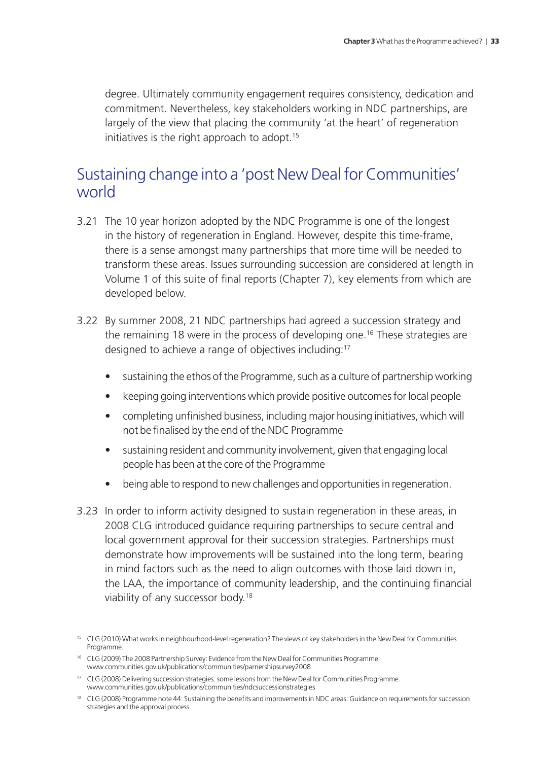degree. Ultimately community engagement requires consistency, dedication and commitment. Nevertheless, key stakeholders working in NDC partnerships, are largely of the view that placing the community 'at the heart' of regeneration initiatives is the right approach to adopt.<sup>15</sup>

## Sustaining change into a 'post New Deal for Communities' world

- 3.21 The 10 year horizon adopted by the NDC Programme is one of the longest in the history of regeneration in England. However, despite this time-frame, there is a sense amongst many partnerships that more time will be needed to transform these areas. Issues surrounding succession are considered at length in Volume 1 of this suite of final reports (Chapter 7), key elements from which are developed below.
- 3.22 By summer 2008, 21 NDC partnerships had agreed a succession strategy and the remaining 18 were in the process of developing one.<sup>16</sup> These strategies are designed to achieve a range of objectives including:17
	- sustaining the ethos of the Programme, such as a culture of partnership working
	- keeping going interventions which provide positive outcomes for local people
	- completing unfinished business, including major housing initiatives, which will not be finalised by the end of the NDC Programme
	- sustaining resident and community involvement, given that engaging local people has been at the core of the Programme
	- being able to respond to new challenges and opportunities in regeneration.
- 3.23 In order to inform activity designed to sustain regeneration in these areas, in 2008 CLG introduced guidance requiring partnerships to secure central and local government approval for their succession strategies. Partnerships must demonstrate how improvements will be sustained into the long term, bearing in mind factors such as the need to align outcomes with those laid down in, the LAA, the importance of community leadership, and the continuing financial viability of any successor body.18

<sup>17</sup> CLG (2008) Delivering succession strategies: some lessons from the New Deal for Communities Programme. [www.communities.gov.uk/publications/communities/ndcsuccessionstrategies](http://www.communities.gov.uk/publications/communities/ndcsuccessionstrategies)

<sup>15</sup> CLG (2010) What works in neighbourhood-level regeneration? The views of key stakeholders in the New Deal for Communities Programme.

<sup>&</sup>lt;sup>16</sup> CLG (2009) The 2008 Partnership Survey: Evidence from the New Deal for Communities Programme. [www.communities.gov.uk/publications/communities/parnershipsurvey2008](http://www.communities.gov.uk/publications/communities/parnershipsurvey2008)

<sup>&</sup>lt;sup>18</sup> CLG (2008) Programme note 44: Sustaining the benefits and improvements in NDC areas: Guidance on requirements for succession strategies and the approval process.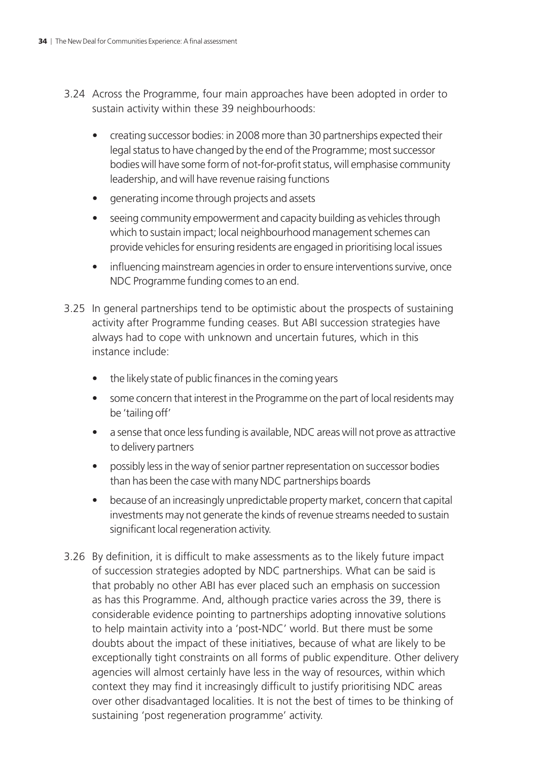- 3.24 Across the Programme, four main approaches have been adopted in order to sustain activity within these 39 neighbourhoods:
	- creating successor bodies: in 2008 more than 30 partnerships expected their legal status to have changed by the end of the Programme; most successor bodies will have some form of not-for-profit status, will emphasise community leadership, and will have revenue raising functions
	- generating income through projects and assets
	- seeing community empowerment and capacity building as vehicles through which to sustain impact; local neighbourhood management schemes can provide vehicles for ensuring residents are engaged in prioritising local issues
	- influencing mainstream agencies in order to ensure interventions survive, once NDC Programme funding comes to an end.
- 3.25 In general partnerships tend to be optimistic about the prospects of sustaining activity after Programme funding ceases. But ABI succession strategies have always had to cope with unknown and uncertain futures, which in this instance include:
	- the likely state of public finances in the coming years
	- some concern that interest in the Programme on the part of local residents may be 'tailing off'
	- a sense that once less funding is available, NDC areas will not prove as attractive to delivery partners
	- possibly less in the way of senior partner representation on successor bodies than has been the case with many NDC partnerships boards
	- because of an increasingly unpredictable property market, concern that capital investments may not generate the kinds of revenue streams needed to sustain significant local regeneration activity.
- 3.26 By definition, it is difficult to make assessments as to the likely future impact of succession strategies adopted by NDC partnerships. What can be said is that probably no other ABI has ever placed such an emphasis on succession as has this Programme. And, although practice varies across the 39, there is considerable evidence pointing to partnerships adopting innovative solutions to help maintain activity into a 'post-NDC' world. But there must be some doubts about the impact of these initiatives, because of what are likely to be exceptionally tight constraints on all forms of public expenditure. Other delivery agencies will almost certainly have less in the way of resources, within which context they may find it increasingly difficult to justify prioritising NDC areas over other disadvantaged localities. It is not the best of times to be thinking of sustaining 'post regeneration programme' activity.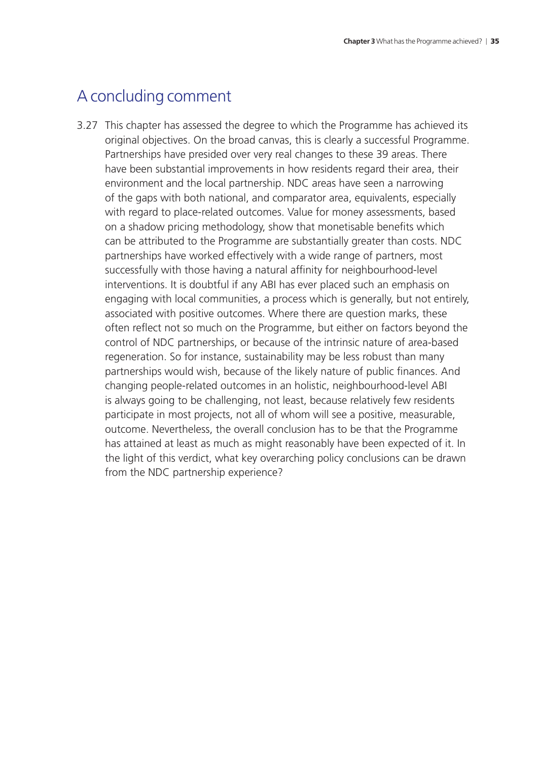## A concluding comment

3.27 This chapter has assessed the degree to which the Programme has achieved its original objectives. On the broad canvas, this is clearly a successful Programme. Partnerships have presided over very real changes to these 39 areas. There have been substantial improvements in how residents regard their area, their environment and the local partnership. NDC areas have seen a narrowing of the gaps with both national, and comparator area, equivalents, especially with regard to place-related outcomes. Value for money assessments, based on a shadow pricing methodology, show that monetisable benefits which can be attributed to the Programme are substantially greater than costs. NDC partnerships have worked effectively with a wide range of partners, most successfully with those having a natural affinity for neighbourhood-level interventions. It is doubtful if any ABI has ever placed such an emphasis on engaging with local communities, a process which is generally, but not entirely, associated with positive outcomes. Where there are question marks, these often reflect not so much on the Programme, but either on factors beyond the control of NDC partnerships, or because of the intrinsic nature of area-based regeneration. So for instance, sustainability may be less robust than many partnerships would wish, because of the likely nature of public finances. And changing people-related outcomes in an holistic, neighbourhood-level ABI is always going to be challenging, not least, because relatively few residents participate in most projects, not all of whom will see a positive, measurable, outcome. Nevertheless, the overall conclusion has to be that the Programme has attained at least as much as might reasonably have been expected of it. In the light of this verdict, what key overarching policy conclusions can be drawn from the NDC partnership experience?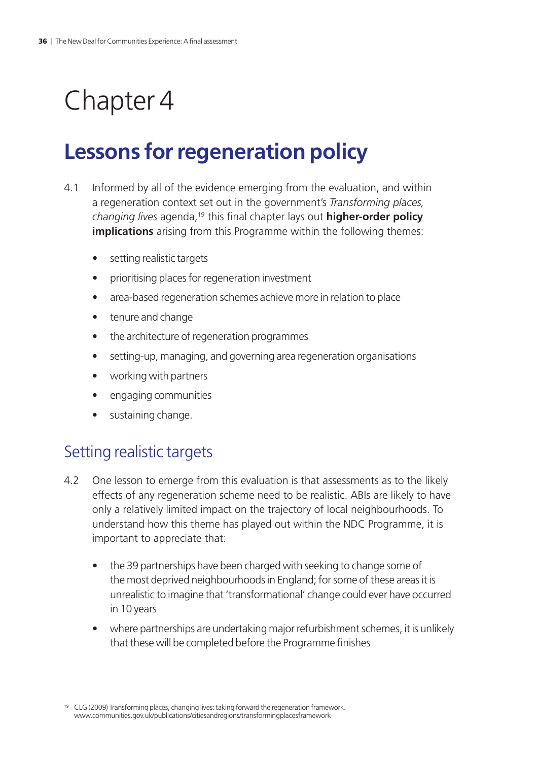## <span id="page-37-0"></span>Chapter 4

## **Lessons for regeneration policy**

- 4.1 Informed by all of the evidence emerging from the evaluation, and within a regeneration context set out in the government's *Transforming places, changing lives* agenda,19 this final chapter lays out **higher-order policy implications** arising from this Programme within the following themes:
	- setting realistic targets
	- prioritising places for regeneration investment
	- area-based regeneration schemes achieve more in relation to place
	- tenure and change
	- the architecture of regeneration programmes
	- setting-up, managing, and governing area regeneration organisations
	- working with partners
	- engaging communities
	- sustaining change.

## Setting realistic targets

- 4.2 One lesson to emerge from this evaluation is that assessments as to the likely effects of any regeneration scheme need to be realistic. ABIs are likely to have only a relatively limited impact on the trajectory of local neighbourhoods. To understand how this theme has played out within the NDC Programme, it is important to appreciate that:
	- the 39 partnerships have been charged with seeking to change some of the most deprived neighbourhoods in England; for some of these areas it is unrealistic to imagine that 'transformational' change could ever have occurred in 10 years
	- where partnerships are undertaking major refurbishment schemes, it is unlikely that these will be completed before the Programme finishes

<sup>&</sup>lt;sup>19</sup> CLG (2009) Transforming places, changing lives: taking forward the regeneration framework. [www.communities.gov.uk/publications/citiesandregions/transformingplacesframework](http://www.communities.gov.uk/publications/citiesandregions/transformingplacesframework)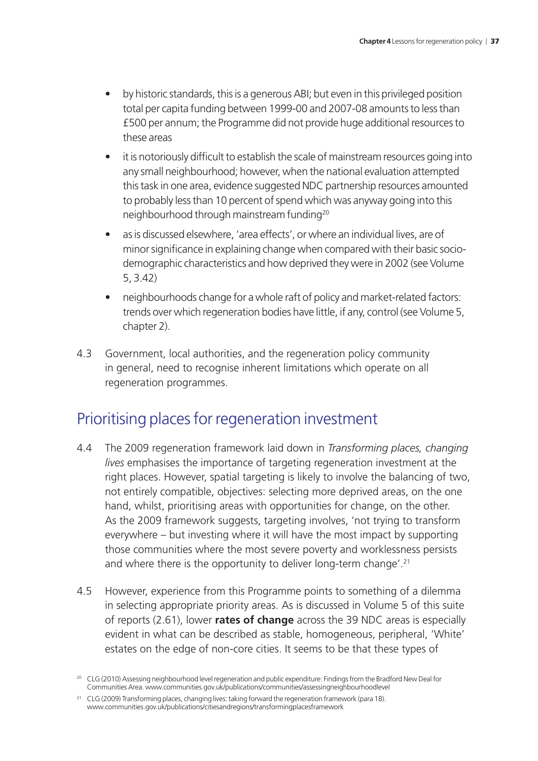- by historic standards, this is a generous ABI; but even in this privileged position total per capita funding between 1999-00 and 2007-08 amounts to less than £500 per annum; the Programme did not provide huge additional resources to these areas
- it is notoriously difficult to establish the scale of mainstream resources going into any small neighbourhood; however, when the national evaluation attempted this task in one area, evidence suggested NDC partnership resources amounted to probably less than 10 percent of spend which was anyway going into this neighbourhood through mainstream funding20
- as is discussed elsewhere, 'area effects', or where an individual lives, are of minor significance in explaining change when compared with their basic sociodemographic characteristics and how deprived they were in 2002 (see Volume 5, 3.42)
- neighbourhoods change for a whole raft of policy and market-related factors: trends over which regeneration bodies have little, if any, control (see Volume 5, chapter 2).
- 4.3 Government, local authorities, and the regeneration policy community in general, need to recognise inherent limitations which operate on all regeneration programmes.

## Prioritising places for regeneration investment

- 4.4 The 2009 regeneration framework laid down in *Transforming places, changing lives* emphasises the importance of targeting regeneration investment at the right places. However, spatial targeting is likely to involve the balancing of two, not entirely compatible, objectives: selecting more deprived areas, on the one hand, whilst, prioritising areas with opportunities for change, on the other. As the 2009 framework suggests, targeting involves, 'not trying to transform everywhere – but investing where it will have the most impact by supporting those communities where the most severe poverty and worklessness persists and where there is the opportunity to deliver long-term change'.<sup>21</sup>
- 4.5 However, experience from this Programme points to something of a dilemma in selecting appropriate priority areas. As is discussed in Volume 5 of this suite of reports (2.61), lower **rates of change** across the 39 NDC areas is especially evident in what can be described as stable, homogeneous, peripheral, 'White' estates on the edge of non-core cities. It seems to be that these types of

<sup>&</sup>lt;sup>20</sup> CLG (2010) Assessing neighbourhood level regeneration and public expenditure: Findings from the Bradford New Deal for Communities Area. [www.communities.gov.uk/publications/communities/assessingneighbourhoodlevel](http://www.communities.gov.uk/publications/communities/assessingneighbourhoodlevel)

<sup>&</sup>lt;sup>21</sup> CLG (2009) Transforming places, changing lives: taking forward the regeneration framework (para 18). [www.communities.gov.uk/publications/citiesandregions/transformingplacesframework](http://www.communities.gov.uk/publications/citiesandregions/transformingplacesframework)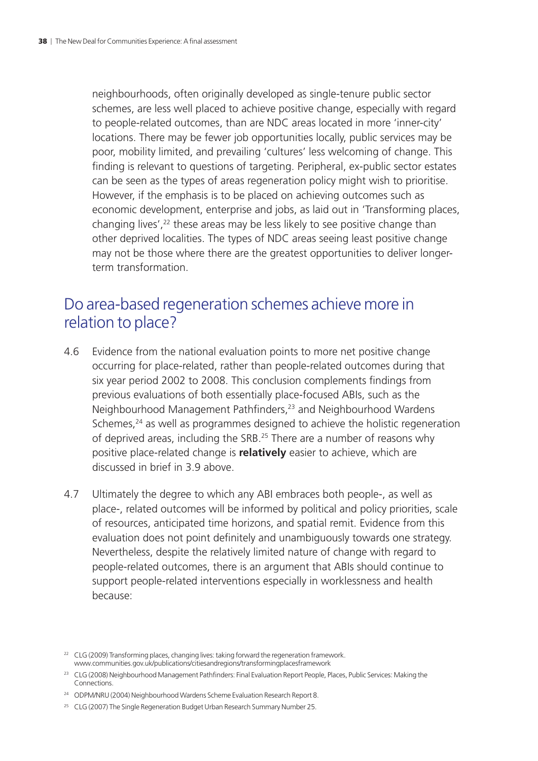neighbourhoods, often originally developed as single-tenure public sector schemes, are less well placed to achieve positive change, especially with regard to people-related outcomes, than are NDC areas located in more 'inner-city' locations. There may be fewer job opportunities locally, public services may be poor, mobility limited, and prevailing 'cultures' less welcoming of change. This finding is relevant to questions of targeting. Peripheral, ex-public sector estates can be seen as the types of areas regeneration policy might wish to prioritise. However, if the emphasis is to be placed on achieving outcomes such as economic development, enterprise and jobs, as laid out in 'Transforming places, changing lives',<sup>22</sup> these areas may be less likely to see positive change than other deprived localities. The types of NDC areas seeing least positive change may not be those where there are the greatest opportunities to deliver longerterm transformation.

### Do area-based regeneration schemes achieve more in relation to place?

- 4.6 Evidence from the national evaluation points to more net positive change occurring for place-related, rather than people-related outcomes during that six year period 2002 to 2008. This conclusion complements findings from previous evaluations of both essentially place-focused ABIs, such as the Neighbourhood Management Pathfinders,23 and Neighbourhood Wardens Schemes,<sup>24</sup> as well as programmes designed to achieve the holistic regeneration of deprived areas, including the SRB.25 There are a number of reasons why positive place-related change is **relatively** easier to achieve, which are discussed in brief in 3.9 above.
- 4.7 Ultimately the degree to which any ABI embraces both people-, as well as place-, related outcomes will be informed by political and policy priorities, scale of resources, anticipated time horizons, and spatial remit. Evidence from this evaluation does not point definitely and unambiguously towards one strategy. Nevertheless, despite the relatively limited nature of change with regard to people-related outcomes, there is an argument that ABIs should continue to support people-related interventions especially in worklessness and health because:

<sup>&</sup>lt;sup>22</sup> CLG (2009) Transforming places, changing lives; taking forward the regeneration framework. [www.communities.gov.uk/publications/citiesandregions/transformingplacesframework](http://www.communities.gov.uk/publications/citiesandregions/transformingplacesframework)

<sup>&</sup>lt;sup>23</sup> CLG (2008) Neighbourhood Management Pathfinders: Final Evaluation Report People, Places, Public Services: Making the Connections.

<sup>&</sup>lt;sup>24</sup> ODPM/NRU (2004) Neighbourhood Wardens Scheme Evaluation Research Report 8.

<sup>&</sup>lt;sup>25</sup> CLG (2007) The Single Regeneration Budget Urban Research Summary Number 25.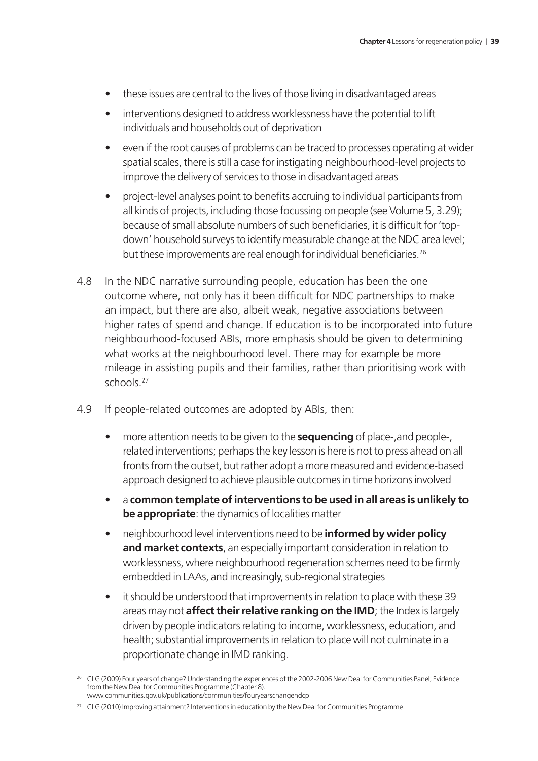- these issues are central to the lives of those living in disadvantaged areas
- interventions designed to address worklessness have the potential to lift individuals and households out of deprivation
- even if the root causes of problems can be traced to processes operating at wider spatial scales, there is still a case for instigating neighbourhood-level projects to improve the delivery of services to those in disadvantaged areas
- project-level analyses point to benefits accruing to individual participants from all kinds of projects, including those focussing on people (see Volume 5, 3.29); because of small absolute numbers of such beneficiaries, it is difficult for 'topdown' household surveys to identify measurable change at the NDC area level; but these improvements are real enough for individual beneficiaries.26
- 4.8 In the NDC narrative surrounding people, education has been the one outcome where, not only has it been difficult for NDC partnerships to make an impact, but there are also, albeit weak, negative associations between higher rates of spend and change. If education is to be incorporated into future neighbourhood-focused ABIs, more emphasis should be given to determining what works at the neighbourhood level. There may for example be more mileage in assisting pupils and their families, rather than prioritising work with schools<sup>27</sup>
- 4.9 If people-related outcomes are adopted by ABIs, then:
	- more attention needs to be given to the **sequencing** of place-,and people-, related interventions; perhaps the key lesson is here is not to press ahead on all fronts from the outset, but rather adopt a more measured and evidence-based approach designed to achieve plausible outcomes in time horizons involved
	- a **common template of interventions to be used in all areas is unlikely to be appropriate**: the dynamics of localities matter
	- neighbourhood level interventions need to be **informed by wider policy and market contexts**, an especially important consideration in relation to worklessness, where neighbourhood regeneration schemes need to be firmly embedded in LAAs, and increasingly, sub-regional strategies
	- it should be understood that improvements in relation to place with these 39 areas may not **affect their relative ranking on the IMD**; the Index is largely driven by people indicators relating to income, worklessness, education, and health; substantial improvements in relation to place will not culminate in a proportionate change in IMD ranking.

<sup>&</sup>lt;sup>26</sup> CLG (2009) Four years of change? Understanding the experiences of the 2002-2006 New Deal for Communities Panel; Evidence from the New Deal for Communities Programme (Chapter 8). [www.communities.gov.uk/publications/communities/fouryearschangendcp](http://www.communities.gov.uk/publications/communities/fouryearschangendcp)

<sup>&</sup>lt;sup>27</sup> CLG (2010) Improving attainment? Interventions in education by the New Deal for Communities Programme.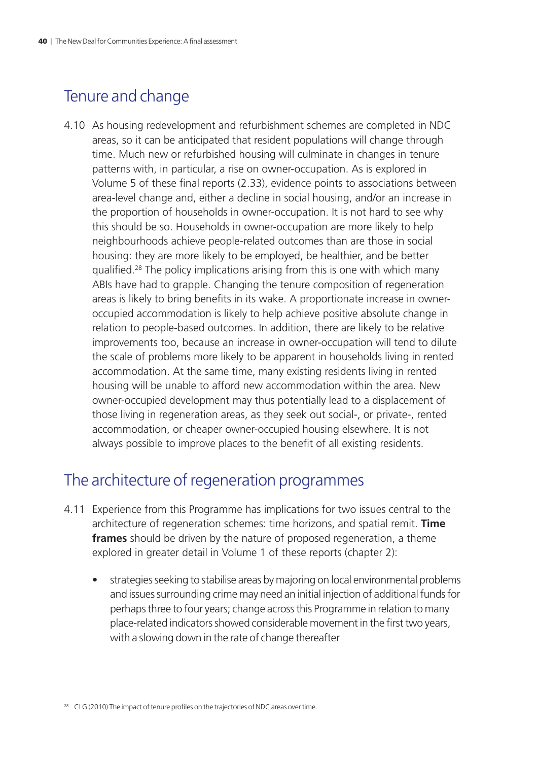## Tenure and change

4.10 As housing redevelopment and refurbishment schemes are completed in NDC areas, so it can be anticipated that resident populations will change through time. Much new or refurbished housing will culminate in changes in tenure patterns with, in particular, a rise on owner-occupation. As is explored in Volume 5 of these final reports (2.33), evidence points to associations between area-level change and, either a decline in social housing, and/or an increase in the proportion of households in owner-occupation. It is not hard to see why this should be so. Households in owner-occupation are more likely to help neighbourhoods achieve people-related outcomes than are those in social housing: they are more likely to be employed, be healthier, and be better qualified.28 The policy implications arising from this is one with which many ABIs have had to grapple. Changing the tenure composition of regeneration areas is likely to bring benefits in its wake. A proportionate increase in owneroccupied accommodation is likely to help achieve positive absolute change in relation to people-based outcomes. In addition, there are likely to be relative improvements too, because an increase in owner-occupation will tend to dilute the scale of problems more likely to be apparent in households living in rented accommodation. At the same time, many existing residents living in rented housing will be unable to afford new accommodation within the area. New owner-occupied development may thus potentially lead to a displacement of those living in regeneration areas, as they seek out social-, or private-, rented accommodation, or cheaper owner-occupied housing elsewhere. It is not always possible to improve places to the benefit of all existing residents.

### The architecture of regeneration programmes

- 4.11 Experience from this Programme has implications for two issues central to the architecture of regeneration schemes: time horizons, and spatial remit. **Time frames** should be driven by the nature of proposed regeneration, a theme explored in greater detail in Volume 1 of these reports (chapter 2):
	- strategies seeking to stabilise areas by majoring on local environmental problems and issues surrounding crime may need an initial injection of additional funds for perhaps three to four years; change across this Programme in relation to many place-related indicators showed considerable movement in the first two years, with a slowing down in the rate of change thereafter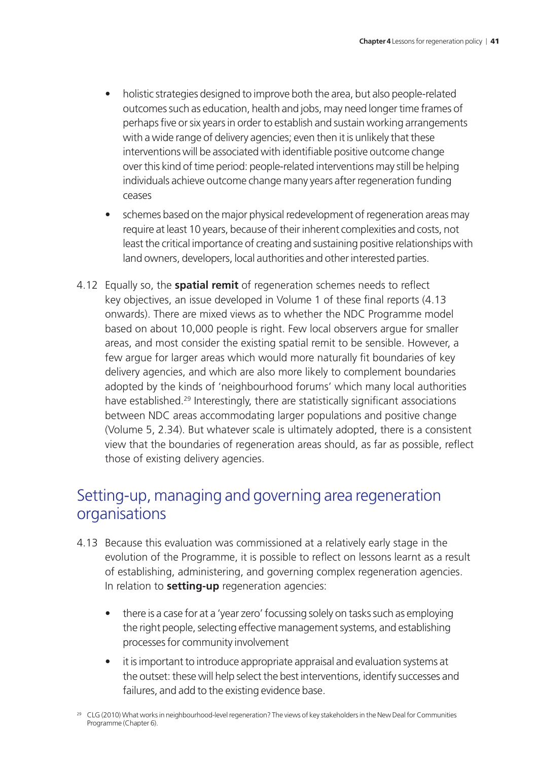- holistic strategies designed to improve both the area, but also people-related outcomes such as education, health and jobs, may need longer time frames of perhaps five or six years in order to establish and sustain working arrangements with a wide range of delivery agencies; even then it is unlikely that these interventions will be associated with identifiable positive outcome change over this kind of time period: people-related interventions may still be helping individuals achieve outcome change many years after regeneration funding ceases
- schemes based on the major physical redevelopment of regeneration areas may require at least 10 years, because of their inherent complexities and costs, not least the critical importance of creating and sustaining positive relationships with land owners, developers, local authorities and other interested parties.
- 4.12 Equally so, the **spatial remit** of regeneration schemes needs to reflect key objectives, an issue developed in Volume 1 of these final reports (4.13 onwards). There are mixed views as to whether the NDC Programme model based on about 10,000 people is right. Few local observers argue for smaller areas, and most consider the existing spatial remit to be sensible. However, a few argue for larger areas which would more naturally fit boundaries of key delivery agencies, and which are also more likely to complement boundaries adopted by the kinds of 'neighbourhood forums' which many local authorities have established.<sup>29</sup> Interestingly, there are statistically significant associations between NDC areas accommodating larger populations and positive change (Volume 5, 2.34). But whatever scale is ultimately adopted, there is a consistent view that the boundaries of regeneration areas should, as far as possible, reflect those of existing delivery agencies.

## Setting-up, managing and governing area regeneration organisations

- 4.13 Because this evaluation was commissioned at a relatively early stage in the evolution of the Programme, it is possible to reflect on lessons learnt as a result of establishing, administering, and governing complex regeneration agencies. In relation to **setting-up** regeneration agencies:
	- there is a case for at a 'year zero' focussing solely on tasks such as employing the right people, selecting effective management systems, and establishing processes for community involvement
	- it is important to introduce appropriate appraisal and evaluation systems at the outset: these will help select the best interventions, identify successes and failures, and add to the existing evidence base.
- <sup>29</sup> CLG (2010) What works in neighbourhood-level regeneration? The views of key stakeholders in the New Deal for Communities Programme (Chapter 6).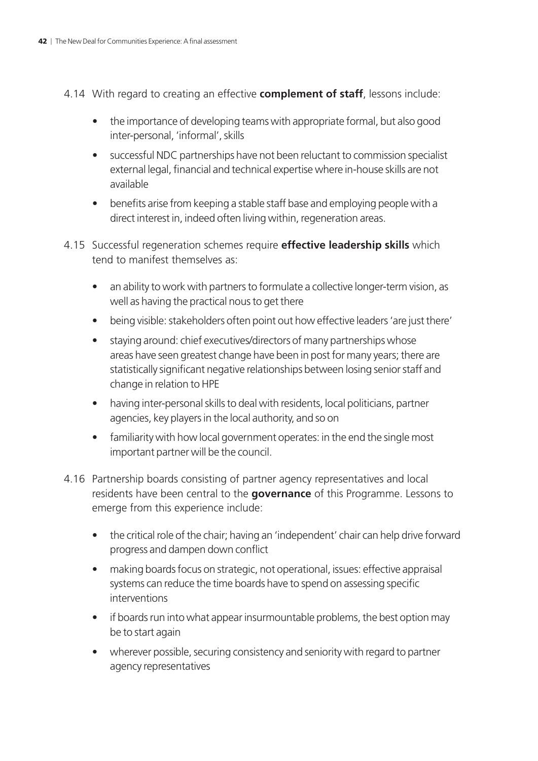- 4.14 With regard to creating an effective **complement of staff**, lessons include:
	- the importance of developing teams with appropriate formal, but also good inter-personal, 'informal', skills
	- successful NDC partnerships have not been reluctant to commission specialist external legal, financial and technical expertise where in-house skills are not available
	- benefits arise from keeping a stable staff base and employing people with a direct interest in, indeed often living within, regeneration areas.
- 4.15 Successful regeneration schemes require **effective leadership skills** which tend to manifest themselves as:
	- an ability to work with partners to formulate a collective longer-term vision, as well as having the practical nous to get there
	- being visible: stakeholders often point out how effective leaders 'are just there'
	- staying around: chief executives/directors of many partnerships whose areas have seen greatest change have been in post for many years; there are statistically significant negative relationships between losing senior staff and change in relation to HPE
	- having inter-personal skills to deal with residents, local politicians, partner agencies, key players in the local authority, and so on
	- familiarity with how local government operates: in the end the single most important partner will be the council.
- 4.16 Partnership boards consisting of partner agency representatives and local residents have been central to the **governance** of this Programme. Lessons to emerge from this experience include:
	- the critical role of the chair; having an 'independent' chair can help drive forward progress and dampen down conflict
	- making boards focus on strategic, not operational, issues: effective appraisal systems can reduce the time boards have to spend on assessing specific interventions
	- if boards run into what appear insurmountable problems, the best option may be to start again
	- wherever possible, securing consistency and seniority with regard to partner agency representatives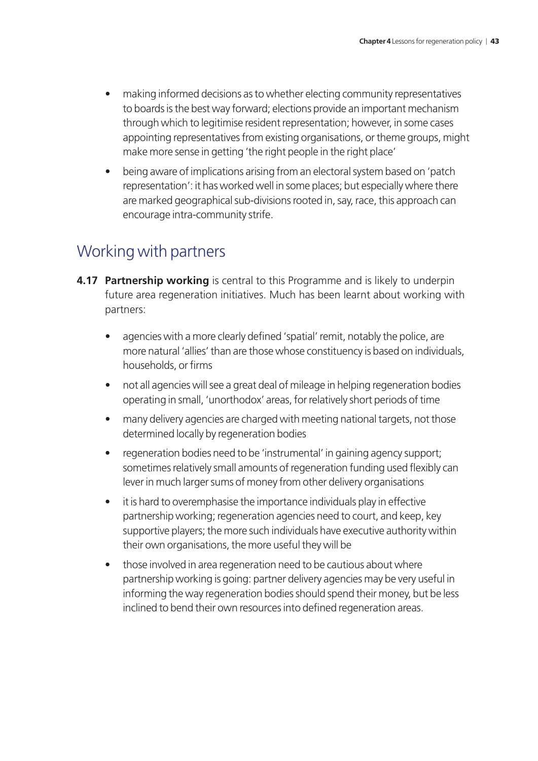- making informed decisions as to whether electing community representatives to boards is the best way forward; elections provide an important mechanism through which to legitimise resident representation; however, in some cases appointing representatives from existing organisations, or theme groups, might make more sense in getting 'the right people in the right place'
- being aware of implications arising from an electoral system based on 'patch representation': it has worked well in some places; but especially where there are marked geographical sub-divisions rooted in, say, race, this approach can encourage intra-community strife.

## Working with partners

- **4.17 Partnership working** is central to this Programme and is likely to underpin future area regeneration initiatives. Much has been learnt about working with partners:
	- agencies with a more clearly defined 'spatial' remit, notably the police, are more natural 'allies' than are those whose constituency is based on individuals, households, or firms
	- not all agencies will see a great deal of mileage in helping regeneration bodies operating in small, 'unorthodox' areas, for relatively short periods of time
	- many delivery agencies are charged with meeting national targets, not those determined locally by regeneration bodies
	- regeneration bodies need to be 'instrumental' in gaining agency support; sometimes relatively small amounts of regeneration funding used flexibly can lever in much larger sums of money from other delivery organisations
	- it is hard to overemphasise the importance individuals play in effective partnership working; regeneration agencies need to court, and keep, key supportive players; the more such individuals have executive authority within their own organisations, the more useful they will be
	- those involved in area regeneration need to be cautious about where partnership working is going: partner delivery agencies may be very useful in informing the way regeneration bodies should spend their money, but be less inclined to bend their own resources into defined regeneration areas.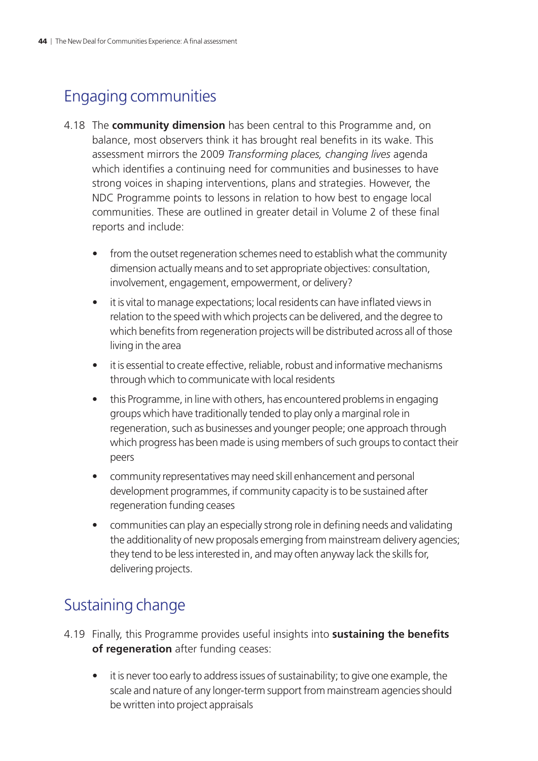## Engaging communities

- 4.18 The **community dimension** has been central to this Programme and, on balance, most observers think it has brought real benefits in its wake. This assessment mirrors the 2009 *Transforming places, changing lives* agenda which identifies a continuing need for communities and businesses to have strong voices in shaping interventions, plans and strategies. However, the NDC Programme points to lessons in relation to how best to engage local communities. These are outlined in greater detail in Volume 2 of these final reports and include:
	- from the outset regeneration schemes need to establish what the community dimension actually means and to set appropriate objectives: consultation, involvement, engagement, empowerment, or delivery?
	- it is vital to manage expectations; local residents can have inflated views in relation to the speed with which projects can be delivered, and the degree to which benefits from regeneration projects will be distributed across all of those living in the area
	- it is essential to create effective, reliable, robust and informative mechanisms through which to communicate with local residents
	- this Programme, in line with others, has encountered problems in engaging groups which have traditionally tended to play only a marginal role in regeneration, such as businesses and younger people; one approach through which progress has been made is using members of such groups to contact their peers
	- community representatives may need skill enhancement and personal development programmes, if community capacity is to be sustained after regeneration funding ceases
	- communities can play an especially strong role in defining needs and validating the additionality of new proposals emerging from mainstream delivery agencies; they tend to be less interested in, and may often anyway lack the skills for, delivering projects.

## Sustaining change

- 4.19 Finally, this Programme provides useful insights into **sustaining the benefits of regeneration** after funding ceases:
	- it is never too early to address issues of sustainability; to give one example, the scale and nature of any longer-term support from mainstream agencies should be written into project appraisals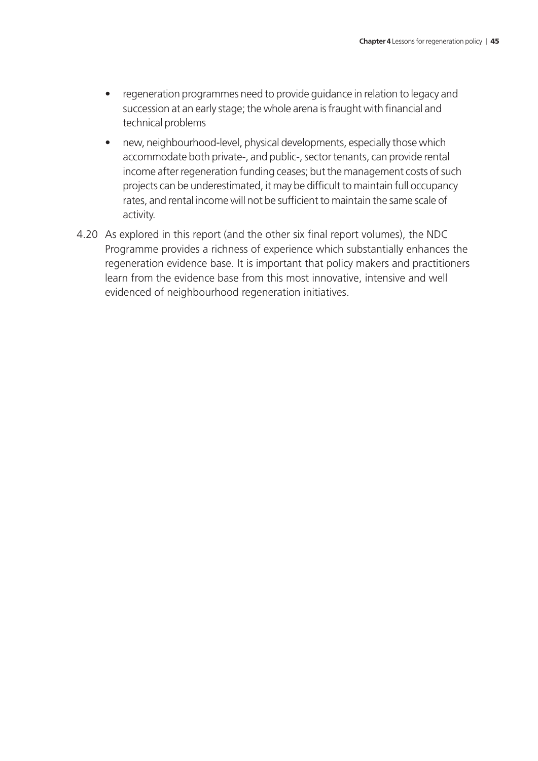- regeneration programmes need to provide guidance in relation to legacy and succession at an early stage; the whole arena is fraught with financial and technical problems
- new, neighbourhood-level, physical developments, especially those which accommodate both private-, and public-, sector tenants, can provide rental income after regeneration funding ceases; but the management costs of such projects can be underestimated, it may be difficult to maintain full occupancy rates, and rental income will not be sufficient to maintain the same scale of activity.
- 4.20 As explored in this report (and the other six final report volumes), the NDC Programme provides a richness of experience which substantially enhances the regeneration evidence base. It is important that policy makers and practitioners learn from the evidence base from this most innovative, intensive and well evidenced of neighbourhood regeneration initiatives.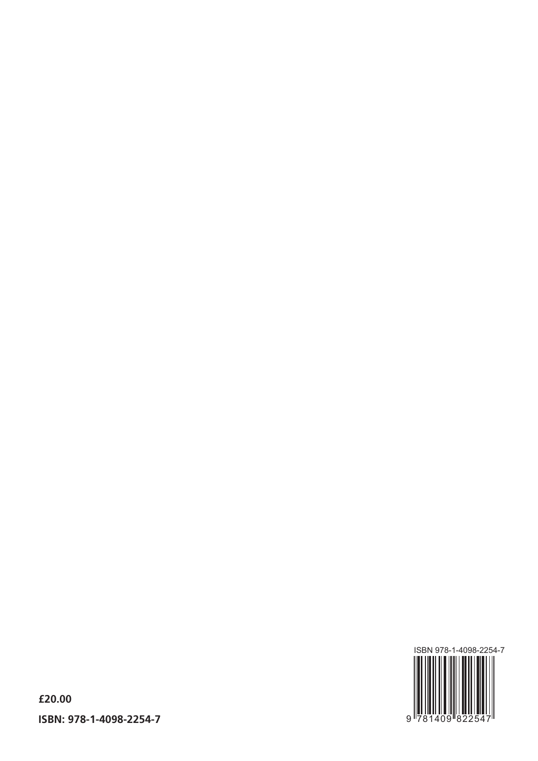

**£20.00 ISBN: 978-1-4098-2254-7**